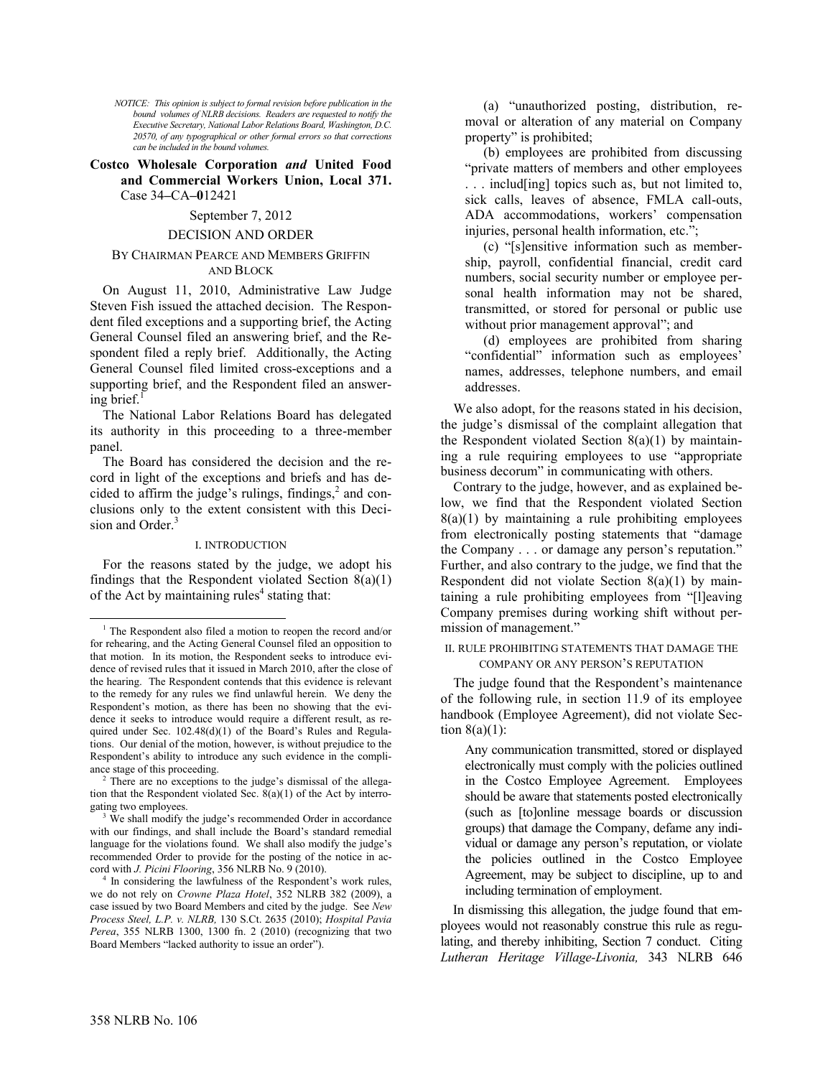*NOTICE: This opinion is subject to formal revision before publication in the bound volumes of NLRB decisions. Readers are requested to notify the Executive Secretary, National Labor Relations Board, Washington, D.C. 20570, of any typographical or other formal errors so that corrections can be included in the bound volumes.*

**Costco Wholesale Corporation** *and* **United Food and Commercial Workers Union, Local 371.**  Case 34**–**CA**–0**12421

# September 7, 2012

# DECISION AND ORDER

# BY CHAIRMAN PEARCE AND MEMBERS GRIFFIN AND BLOCK

On August 11, 2010, Administrative Law Judge Steven Fish issued the attached decision. The Respondent filed exceptions and a supporting brief, the Acting General Counsel filed an answering brief, and the Respondent filed a reply brief. Additionally, the Acting General Counsel filed limited cross-exceptions and a supporting brief, and the Respondent filed an answering brief. $\frac{1}{1}$  $\frac{1}{1}$  $\frac{1}{1}$ 

The National Labor Relations Board has delegated its authority in this proceeding to a three-member panel.

The Board has considered the decision and the record in light of the exceptions and briefs and has decided to [a](#page-0-1)ffirm the judge's rulings, findings, $^2$  and conclusions only to the extent consistent with this Deci-sion and Order.<sup>[3](#page-0-2)</sup>

#### I. INTRODUCTION

For the reasons stated by the judge, we adopt his findings that the Respondent violated Section  $8(a)(1)$ of the Act by maintaining rules $4$  [s](#page-0-3)tating that:

(a) "unauthorized posting, distribution, removal or alteration of any material on Company property" is prohibited;

(b) employees are prohibited from discussing "private matters of members and other employees . . . includ[ing] topics such as, but not limited to, sick calls, leaves of absence, FMLA call-outs, ADA accommodations, workers' compensation injuries, personal health information, etc.";

(c) "[s]ensitive information such as membership, payroll, confidential financial, credit card numbers, social security number or employee personal health information may not be shared, transmitted, or stored for personal or public use without prior management approval"; and

(d) employees are prohibited from sharing "confidential" information such as employees' names, addresses, telephone numbers, and email addresses.

We also adopt, for the reasons stated in his decision, the judge's dismissal of the complaint allegation that the Respondent violated Section  $8(a)(1)$  by maintaining a rule requiring employees to use "appropriate business decorum" in communicating with others.

Contrary to the judge, however, and as explained below, we find that the Respondent violated Section  $8(a)(1)$  by maintaining a rule prohibiting employees from electronically posting statements that "damage the Company . . . or damage any person's reputation." Further, and also contrary to the judge, we find that the Respondent did not violate Section 8(a)(1) by maintaining a rule prohibiting employees from "[l]eaving Company premises during working shift without permission of management."

II. RULE PROHIBITING STATEMENTS THAT DAMAGE THE COMPANY OR ANY PERSON'S REPUTATION

The judge found that the Respondent's maintenance of the following rule, in section 11.9 of its employee handbook (Employee Agreement), did not violate Section  $8(a)(1)$ :

Any communication transmitted, stored or displayed electronically must comply with the policies outlined in the Costco Employee Agreement. Employees should be aware that statements posted electronically (such as [to]online message boards or discussion groups) that damage the Company, defame any individual or damage any person's reputation, or violate the policies outlined in the Costco Employee Agreement, may be subject to discipline, up to and including termination of employment.

 In dismissing this allegation, the judge found that employees would not reasonably construe this rule as regulating, and thereby inhibiting, Section 7 conduct. Citing *[Lutheran Heritage Village-Livonia,](http://www.westlaw.com/Find/Default.wl?rs=dfa1.0&vr=2.0&DB=0001417&FindType=Y&SerialNum=2005583989)* [343 NLRB 646](http://www.westlaw.com/Find/Default.wl?rs=dfa1.0&vr=2.0&DB=0001417&FindType=Y&SerialNum=2005583989) 

1

<span id="page-0-0"></span><sup>&</sup>lt;sup>1</sup> The Respondent also filed a motion to reopen the record and/or for rehearing, and the Acting General Counsel filed an opposition to that motion. In its motion, the Respondent seeks to introduce evidence of revised rules that it issued in March 2010, after the close of the hearing. The Respondent contends that this evidence is relevant to the remedy for any rules we find unlawful herein. We deny the Respondent's motion, as there has been no showing that the evidence it seeks to introduce would require a different result, as required under Sec. 102.48(d)(1) of the Board's Rules and Regulations. Our denial of the motion, however, is without prejudice to the Respondent's ability to introduce any such evidence in the compliance stage of this proceeding.

<span id="page-0-1"></span><sup>&</sup>lt;sup>2</sup> There are no exceptions to the judge's dismissal of the allegation that the Respondent violated Sec.  $8(a)(1)$  of the Act by interrogating two employees.

<span id="page-0-2"></span>We shall modify the judge's recommended Order in accordance with our findings, and shall include the Board's standard remedial language for the violations found. We shall also modify the judge's recommended Order to provide for the posting of the notice in accord with *J. Picini Flooring*, 356 NLRB No. 9 (2010).

<span id="page-0-3"></span><sup>4</sup> In considering the lawfulness of the Respondent's work rules, we do not rely on *Crowne Plaza Hotel*, 352 NLRB 382 (2009), a case issued by two Board Members and cited by the judge. See *New Process Steel, L.P. v. NLRB,* 130 S.Ct. 2635 (2010); *Hospital Pavia Perea*, 355 NLRB 1300, 1300 fn. 2 (2010) (recognizing that two Board Members "lacked authority to issue an order").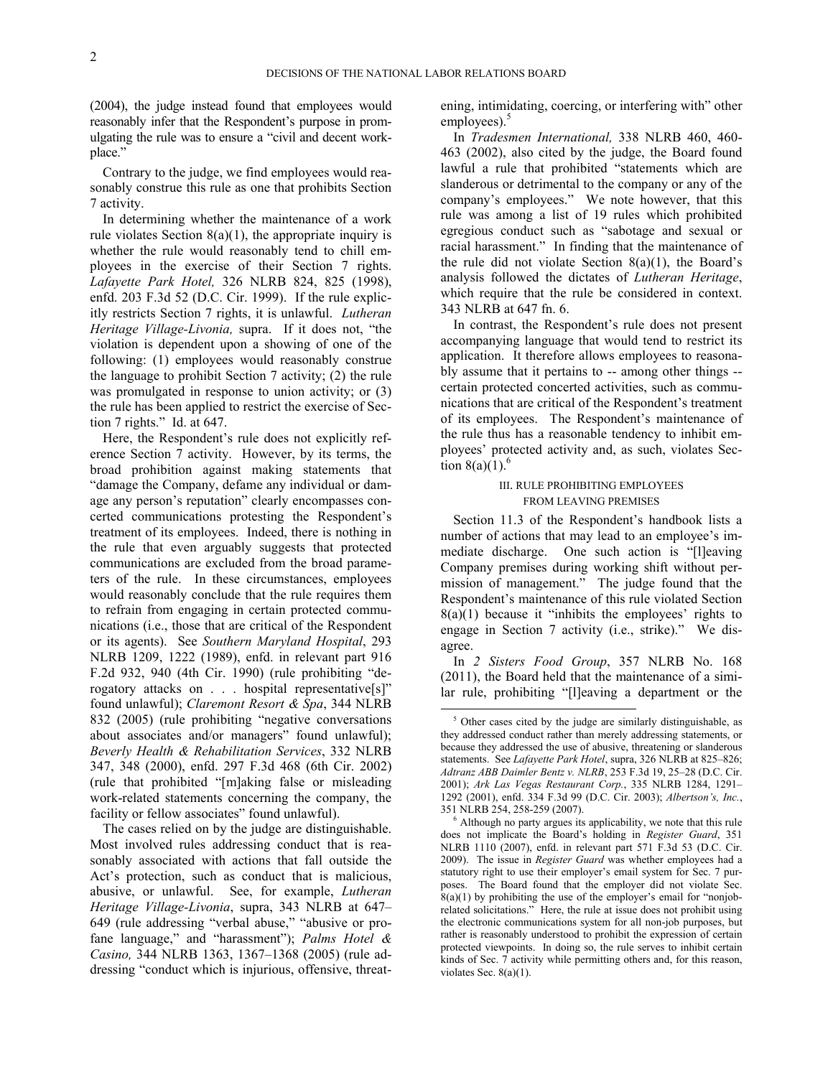$\overline{a}$ 

[\(2004\),](http://www.westlaw.com/Find/Default.wl?rs=dfa1.0&vr=2.0&DB=0001417&FindType=Y&SerialNum=2005583989) the judge instead found that employees would reasonably infer that the Respondent's purpose in promulgating the rule was to ensure a "civil and decent workplace."

Contrary to the judge, we find employees would reasonably construe this rule as one that prohibits Section 7 activity.

In determining whether the maintenance of a work rule violates Section  $8(a)(1)$ , the appropriate inquiry is whether the rule would reasonably tend to chill employees in the exercise of their Section 7 rights. *[Lafayette Park Hotel,](http://www.westlaw.com/Find/Default.wl?rs=dfa1.0&vr=2.0&DB=0001417&FindType=Y&SerialNum=1998187052)* [326 NLRB 824, 825 \(1998\),](http://www.westlaw.com/Find/Default.wl?rs=dfa1.0&vr=2.0&DB=0001417&FindType=Y&SerialNum=1998187052) enfd. [203 F.3d 52 \(D.C. Cir. 1999\).](http://www.westlaw.com/Find/Default.wl?rs=dfa1.0&vr=2.0&DB=506&FindType=Y&SerialNum=1999278656) If the rule explicitly restricts Section 7 rights, it is unlawful. *[Lutheran](http://www.westlaw.com/Find/Default.wl?rs=dfa1.0&vr=2.0&DB=0001417&FindType=Y&SerialNum=2005583989)  [Heritage Village-Livonia,](http://www.westlaw.com/Find/Default.wl?rs=dfa1.0&vr=2.0&DB=0001417&FindType=Y&SerialNum=2005583989)* [supra.](http://www.westlaw.com/Find/Default.wl?rs=dfa1.0&vr=2.0&DB=0001417&FindType=Y&SerialNum=2005583989) If it does not, "the violation is dependent upon a showing of one of the following: (1) employees would reasonably construe the language to prohibit Section 7 activity; (2) the rule was promulgated in response to union activity; or (3) the rule has been applied to restrict the exercise of Section 7 rights." [Id. at 647.](http://www.westlaw.com/Find/Default.wl?rs=dfa1.0&vr=2.0&DB=0001417&FindType=Y&SerialNum=2005583989)

Here, the Respondent's rule does not explicitly reference Section 7 activity. However, by its terms, the broad prohibition against making statements that "damage the Company, defame any individual or damage any person's reputation" clearly encompasses concerted communications protesting the Respondent's treatment of its employees. Indeed, there is nothing in the rule that even arguably suggests that protected communications are excluded from the broad parameters of the rule. In these circumstances, employees would reasonably conclude that the rule requires them to refrain from engaging in certain protected communications (i.e., those that are critical of the Respondent or its agents). See *Southern Maryland Hospital*, 293 NLRB 1209, 1222 (1989), enfd. in relevant part 916 F.2d 932, 940 (4th Cir. 1990) (rule prohibiting "derogatory attacks on . . . hospital representative[s]" found unlawful); *Claremont Resort & Spa*, 344 NLRB 832 (2005) (rule prohibiting "negative conversations about associates and/or managers" found unlawful); *Beverly Health & Rehabilitation Services*, 332 NLRB 347, 348 (2000), enfd. 297 F.3d 468 (6th Cir. 2002) (rule that prohibited "[m]aking false or misleading work-related statements concerning the company, the facility or fellow associates" found unlawful).

<span id="page-1-1"></span><span id="page-1-0"></span>The cases relied on by the judge are distinguishable. Most involved rules addressing conduct that is reasonably associated with actions that fall outside the Act's protection, such as conduct that is malicious, abusive, or unlawful. See, for example, *Lutheran Heritage Village-Livonia*, supra, 343 NLRB at 647– 649 (rule addressing "verbal abuse," "abusive or profane language," and "harassment"); *[Palms Hotel &](http://web2.westlaw.com/find/default.wl?mt=LaborAndEmployment&db=0001417&rs=WLW12.01&tc=-1&rp=%2ffind%2fdefault.wl&findtype=Y&ordoc=2026886670&serialnum=2007147994&vr=2.0&fn=_top&sv=Split&tf=-1&referencepositiontype=S&pbc=424E5ED4&referenceposition=1367&utid=1)  Casino,* [344 NLRB 1363, 1367–1368 \(2005\)](http://web2.westlaw.com/find/default.wl?mt=LaborAndEmployment&db=0001417&rs=WLW12.01&tc=-1&rp=%2ffind%2fdefault.wl&findtype=Y&ordoc=2026886670&serialnum=2007147994&vr=2.0&fn=_top&sv=Split&tf=-1&referencepositiontype=S&pbc=424E5ED4&referenceposition=1367&utid=1) (rule addressing "conduct which is injurious, offensive, threatening, intimidating, coercing, or interfering with" other employees). $5$ 

In *Tradesmen International,* 338 NLRB 460, 460- 463 (2002), also cited by the judge, the Board found lawful a rule that prohibited "statements which are slanderous or detrimental to the company or any of the company's employees." We note however, that this rule was among a list of 19 rules which prohibited egregious conduct such as "sabotage and sexual or racial harassment." In finding that the maintenance of the rule did not violate Section  $8(a)(1)$ , the Board's analysis followed the dictates of *Lutheran Heritage*, which require that the rule be considered in context. 343 NLRB at 647 fn. 6.

In contrast, the Respondent's rule does not present accompanying language that would tend to restrict its application. It therefore allows employees to reasonably assume that it pertains to -- among other things - certain protected concerted activities, such as communications that are critical of the Respondent's treatment of its employees. The Respondent's maintenance of the rule thus has a reasonable tendency to inhibit employees' protected activity and, as such, violates Section  $8(a)(1)$ .<sup>[6](#page-1-1)</sup>

# III. RULE PROHIBITING EMPLOYEES FROM LEAVING PREMISES

Section 11.3 of the Respondent's handbook lists a number of actions that may lead to an employee's immediate discharge. One such action is "[l]eaving Company premises during working shift without permission of management." The judge found that the Respondent's maintenance of this rule violated Section  $8(a)(1)$  because it "inhibits the employees' rights to engage in Section 7 activity (i.e., strike)." We disagree.

In *2 Sisters Food Group*, 357 NLRB No. 168 (2011), the Board held that the maintenance of a similar rule, prohibiting "[l]eaving a department or the

<sup>5</sup> Other cases cited by the judge are similarly distinguishable, as they addressed conduct rather than merely addressing statements, or because they addressed the use of abusive, threatening or slanderous statements. See *Lafayette Park Hotel*, supra, 326 NLRB at 825–826; *Adtranz ABB Daimler Bentz v. NLRB*, 253 F.3d 19, 25–28 (D.C. Cir. 2001); *Ark Las Vegas Restaurant Corp.*, 335 NLRB 1284, 1291– 1292 (2001), enfd. 334 F.3d 99 (D.C. Cir. 2003); *Albertson's, Inc.*, 351 NLRB 254, 258-259 (2007).

<sup>6</sup> Although no party argues its applicability, we note that this rule does not implicate the Board's holding in *Register Guard*, 351 NLRB 1110 (2007), enfd. in relevant part 571 F.3d 53 (D.C. Cir. 2009). The issue in *Register Guard* was whether employees had a statutory right to use their employer's email system for Sec. 7 purposes. The Board found that the employer did not violate Sec.  $8(a)(1)$  by prohibiting the use of the employer's email for "nonjobrelated solicitations." Here, the rule at issue does not prohibit using the electronic communications system for all non-job purposes, but rather is reasonably understood to prohibit the expression of certain protected viewpoints. In doing so, the rule serves to inhibit certain kinds of Sec. 7 activity while permitting others and, for this reason, violates Sec. 8(a)(1).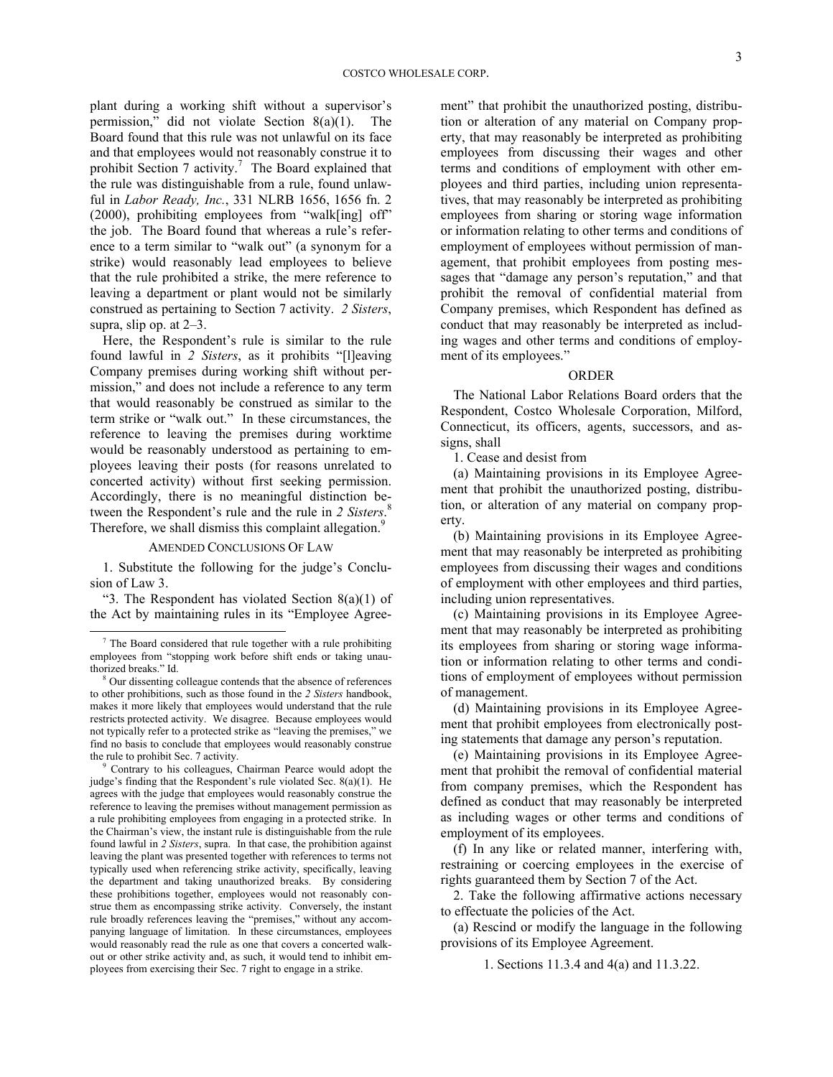plant during a working shift without a supervisor's permission," did not violate Section 8(a)(1). The Board found that this rule was not unlawful on its face and that employees would not reasonably construe it to prohibitSection 7 activity.<sup>7</sup> The Board explained that the rule was distinguishable from a rule, found unlawful in *Labor Ready, Inc.*, 331 NLRB 1656, 1656 fn. 2 (2000), prohibiting employees from "walk[ing] off" the job. The Board found that whereas a rule's reference to a term similar to "walk out" (a synonym for a strike) would reasonably lead employees to believe that the rule prohibited a strike, the mere reference to leaving a department or plant would not be similarly construed as pertaining to Section 7 activity. *2 Sisters*, supra, slip op. at 2–3.

Here, the Respondent's rule is similar to the rule found lawful in *2 Sisters*, as it prohibits "[l]eaving Company premises during working shift without permission," and does not include a reference to any term that would reasonably be construed as similar to the term strike or "walk out." In these circumstances, the reference to leaving the premises during worktime would be reasonably understood as pertaining to employees leaving their posts (for reasons unrelated to concerted activity) without first seeking permission. Accordingly, there is no meaningful distinction between the Respondent's rule and the rule in *2 Sisters*. [8](#page-2-1) Therefore, we shall dismiss this complaint allegation.<sup>[9](#page-2-2)</sup>

# AMENDED CONCLUSIONS OF LAW

1. Substitute the following for the judge's Conclusion of Law 3.

"3. The Respondent has violated Section  $8(a)(1)$  of the Act by maintaining rules in its "Employee Agree-

-

<span id="page-2-2"></span>Contrary to his colleagues, Chairman Pearce would adopt the judge's finding that the Respondent's rule violated Sec. 8(a)(1). He agrees with the judge that employees would reasonably construe the reference to leaving the premises without management permission as a rule prohibiting employees from engaging in a protected strike. In the Chairman's view, the instant rule is distinguishable from the rule found lawful in *2 Sisters*, supra.In that case, the prohibition against leaving the plant was presented together with references to terms not typically used when referencing strike activity, specifically, leaving the department and taking unauthorized breaks. By considering these prohibitions together, employees would not reasonably construe them as encompassing strike activity. Conversely, the instant rule broadly references leaving the "premises," without any accompanying language of limitation. In these circumstances, employees would reasonably read the rule as one that covers a concerted walkout or other strike activity and, as such, it would tend to inhibit employees from exercising their Sec. 7 right to engage in a strike.

ment" that prohibit the unauthorized posting, distribution or alteration of any material on Company property, that may reasonably be interpreted as prohibiting employees from discussing their wages and other terms and conditions of employment with other employees and third parties, including union representatives, that may reasonably be interpreted as prohibiting employees from sharing or storing wage information or information relating to other terms and conditions of employment of employees without permission of management, that prohibit employees from posting messages that "damage any person's reputation," and that prohibit the removal of confidential material from Company premises, which Respondent has defined as conduct that may reasonably be interpreted as including wages and other terms and conditions of employment of its employees."

#### ORDER

The National Labor Relations Board orders that the Respondent, Costco Wholesale Corporation, Milford, Connecticut, its officers, agents, successors, and assigns, shall

1. Cease and desist from

(a) Maintaining provisions in its Employee Agreement that prohibit the unauthorized posting, distribution, or alteration of any material on company property.

(b) Maintaining provisions in its Employee Agreement that may reasonably be interpreted as prohibiting employees from discussing their wages and conditions of employment with other employees and third parties, including union representatives.

(c) Maintaining provisions in its Employee Agreement that may reasonably be interpreted as prohibiting its employees from sharing or storing wage information or information relating to other terms and conditions of employment of employees without permission of management.

(d) Maintaining provisions in its Employee Agreement that prohibit employees from electronically posting statements that damage any person's reputation.

(e) Maintaining provisions in its Employee Agreement that prohibit the removal of confidential material from company premises, which the Respondent has defined as conduct that may reasonably be interpreted as including wages or other terms and conditions of employment of its employees.

(f) In any like or related manner, interfering with, restraining or coercing employees in the exercise of rights guaranteed them by Section 7 of the Act.

2. Take the following affirmative actions necessary to effectuate the policies of the Act.

(a) Rescind or modify the language in the following provisions of its Employee Agreement.

1. Sections 11.3.4 and 4(a) and 11.3.22.

<span id="page-2-0"></span><sup>&</sup>lt;sup>7</sup> The Board considered that rule together with a rule prohibiting employees from "stopping work before shift ends or taking unauthorized breaks." Id.

<span id="page-2-1"></span>Our dissenting colleague contends that the absence of references to other prohibitions, such as those found in the *2 Sisters* handbook, makes it more likely that employees would understand that the rule restricts protected activity. We disagree. Because employees would not typically refer to a protected strike as "leaving the premises," we find no basis to conclude that employees would reasonably construe the rule to prohibit Sec. 7 activity.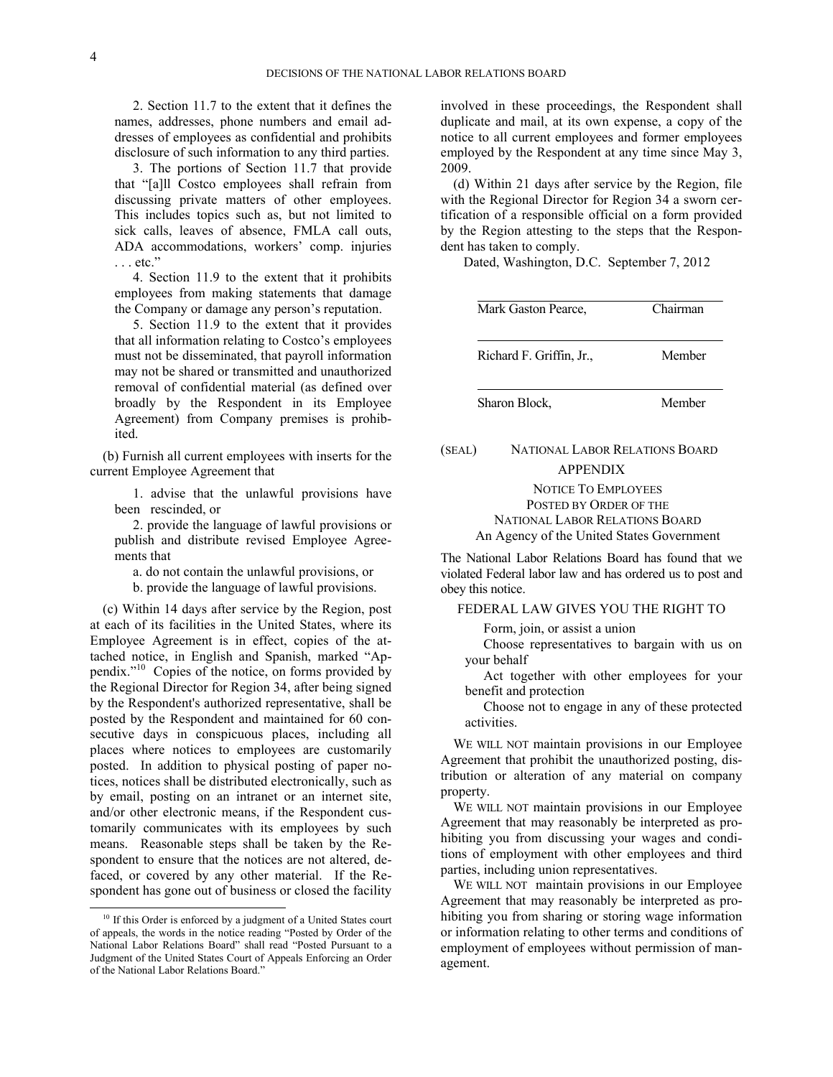2. Section 11.7 to the extent that it defines the names, addresses, phone numbers and email addresses of employees as confidential and prohibits disclosure of such information to any third parties.

3. The portions of Section 11.7 that provide that "[a]ll Costco employees shall refrain from discussing private matters of other employees. This includes topics such as, but not limited to sick calls, leaves of absence, FMLA call outs, ADA accommodations, workers' comp. injuries . . . etc."

4. Section 11.9 to the extent that it prohibits employees from making statements that damage the Company or damage any person's reputation.

5. Section 11.9 to the extent that it provides that all information relating to Costco's employees must not be disseminated, that payroll information may not be shared or transmitted and unauthorized removal of confidential material (as defined over broadly by the Respondent in its Employee Agreement) from Company premises is prohibited.

(b) Furnish all current employees with inserts for the current Employee Agreement that

1. advise that the unlawful provisions have been rescinded, or

2. provide the language of lawful provisions or publish and distribute revised Employee Agreements that

a. do not contain the unlawful provisions, or b. provide the language of lawful provisions.

(c) Within 14 days after service by the Region, post at each of its facilities in the United States, where its Employee Agreement is in effect, copies of the attached notice, in English and Spanish, marked "Appendix."[10](#page-3-0) Copies of the notice, on forms provided by the Regional Director for Region 34, after being signed by the Respondent's authorized representative, shall be posted by the Respondent and maintained for 60 consecutive days in conspicuous places, including all places where notices to employees are customarily posted. In addition to physical posting of paper notices, notices shall be distributed electronically, such as by email, posting on an intranet or an internet site, and/or other electronic means, if the Respondent customarily communicates with its employees by such means. Reasonable steps shall be taken by the Respondent to ensure that the notices are not altered, defaced, or covered by any other material. If the Respondent has gone out of business or closed the facility

-

involved in these proceedings, the Respondent shall duplicate and mail, at its own expense, a copy of the notice to all current employees and former employees employed by the Respondent at any time since May 3, 2009.

(d) Within 21 days after service by the Region, file with the Regional Director for Region 34 a sworn certification of a responsible official on a form provided by the Region attesting to the steps that the Respondent has taken to comply.

Dated, Washington, D.C. September 7, 2012

| Mark Gaston Pearce.      | Chairman |
|--------------------------|----------|
| Richard F. Griffin, Jr., | Member   |
| Sharon Block.            | Member   |

# (SEAL) NATIONAL LABOR RELATIONS BOARD APPENDIX

NOTICE TO EMPLOYEES POSTED BY ORDER OF THE NATIONAL LABOR RELATIONS BOARD An Agency of the United States Government

The National Labor Relations Board has found that we violated Federal labor law and has ordered us to post and obey this notice.

# FEDERAL LAW GIVES YOU THE RIGHT TO

Form, join, or assist a union

Choose representatives to bargain with us on your behalf

Act together with other employees for your benefit and protection

Choose not to engage in any of these protected activities.

WE WILL NOT maintain provisions in our Employee Agreement that prohibit the unauthorized posting, distribution or alteration of any material on company property.

WE WILL NOT maintain provisions in our Employee Agreement that may reasonably be interpreted as prohibiting you from discussing your wages and conditions of employment with other employees and third parties, including union representatives.

WE WILL NOT maintain provisions in our Employee Agreement that may reasonably be interpreted as prohibiting you from sharing or storing wage information or information relating to other terms and conditions of employment of employees without permission of management.

<span id="page-3-0"></span><sup>&</sup>lt;sup>10</sup> If this Order is enforced by a judgment of a United States court of appeals, the words in the notice reading "Posted by Order of the National Labor Relations Board" shall read "Posted Pursuant to a Judgment of the United States Court of Appeals Enforcing an Order of the National Labor Relations Board."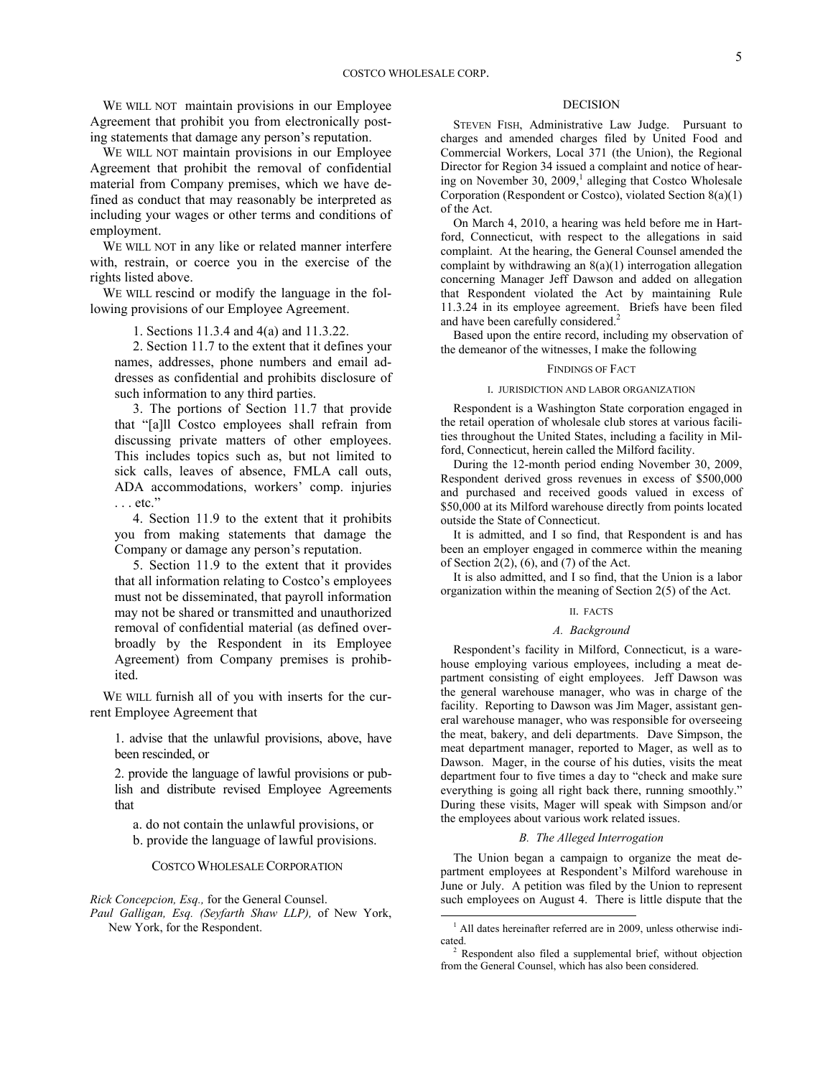WE WILL NOT maintain provisions in our Employee Agreement that prohibit you from electronically posting statements that damage any person's reputation.

WE WILL NOT maintain provisions in our Employee Agreement that prohibit the removal of confidential material from Company premises, which we have defined as conduct that may reasonably be interpreted as including your wages or other terms and conditions of employment.

WE WILL NOT in any like or related manner interfere with, restrain, or coerce you in the exercise of the rights listed above.

WE WILL rescind or modify the language in the following provisions of our Employee Agreement.

1. Sections 11.3.4 and 4(a) and 11.3.22.

2. Section 11.7 to the extent that it defines your names, addresses, phone numbers and email addresses as confidential and prohibits disclosure of such information to any third parties.

3. The portions of Section 11.7 that provide that "[a]ll Costco employees shall refrain from discussing private matters of other employees. This includes topics such as, but not limited to sick calls, leaves of absence, FMLA call outs, ADA accommodations, workers' comp. injuries . . . etc."

4. Section 11.9 to the extent that it prohibits you from making statements that damage the Company or damage any person's reputation.

5. Section 11.9 to the extent that it provides that all information relating to Costco's employees must not be disseminated, that payroll information may not be shared or transmitted and unauthorized removal of confidential material (as defined overbroadly by the Respondent in its Employee Agreement) from Company premises is prohibited.

WE WILL furnish all of you with inserts for the current Employee Agreement that

1. advise that the unlawful provisions, above, have been rescinded, or

2. provide the language of lawful provisions or publish and distribute revised Employee Agreements that

a. do not contain the unlawful provisions, or b. provide the language of lawful provisions.

COSTCO WHOLESALE CORPORATION

*Rick Concepcion, Esq.,* for the General Counsel.

<span id="page-4-1"></span><span id="page-4-0"></span>*Paul Galligan, Esq. (Seyfarth Shaw LLP),* of New York, New York, for the Respondent.

## DECISION

STEVEN FISH, Administrative Law Judge. Pursuant to charges and amended charges filed by United Food and Commercial Workers, Local 371 (the Union), the Regional Director for Region 34 issued a complaint and notice of hearing on November 30,  $2009$ ,<sup>1</sup> alleging that Costco Wholesale Corporation (Respondent or Costco), violated Section 8(a)(1) of the Act.

On March 4, 2010, a hearing was held before me in Hartford, Connecticut, with respect to the allegations in said complaint. At the hearing, the General Counsel amended the complaint by withdrawing an 8(a)(1) interrogation allegation concerning Manager Jeff Dawson and added on allegation that Respondent violated the Act by maintaining Rule 11.3.24 in its employee agreement. Briefs have been filed and have been carefully considere[d.](#page-4-1)<sup>2</sup>

Based upon the entire record, including my observation of the demeanor of the witnesses, I make the following

#### FINDINGS OF FACT

### I. JURISDICTION AND LABOR ORGANIZATION

Respondent is a Washington State corporation engaged in the retail operation of wholesale club stores at various facilities throughout the United States, including a facility in Milford, Connecticut, herein called the Milford facility.

During the 12-month period ending November 30, 2009, Respondent derived gross revenues in excess of \$500,000 and purchased and received goods valued in excess of \$50,000 at its Milford warehouse directly from points located outside the State of Connecticut.

It is admitted, and I so find, that Respondent is and has been an employer engaged in commerce within the meaning of Section  $2(2)$ ,  $(6)$ , and  $(7)$  of the Act.

It is also admitted, and I so find, that the Union is a labor organization within the meaning of Section 2(5) of the Act.

# II. FACTS

### *A. Background*

Respondent's facility in Milford, Connecticut, is a warehouse employing various employees, including a meat department consisting of eight employees. Jeff Dawson was the general warehouse manager, who was in charge of the facility. Reporting to Dawson was Jim Mager, assistant general warehouse manager, who was responsible for overseeing the meat, bakery, and deli departments. Dave Simpson, the meat department manager, reported to Mager, as well as to Dawson. Mager, in the course of his duties, visits the meat department four to five times a day to "check and make sure everything is going all right back there, running smoothly." During these visits, Mager will speak with Simpson and/or the employees about various work related issues.

#### *B. The Alleged Interrogation*

The Union began a campaign to organize the meat department employees at Respondent's Milford warehouse in June or July. A petition was filed by the Union to represent such employees on August 4. There is little dispute that the

 $\overline{a}$ 

<sup>&</sup>lt;sup>1</sup> All dates hereinafter referred are in 2009, unless otherwise indicated.

<sup>2</sup> Respondent also filed a supplemental brief, without objection from the General Counsel, which has also been considered.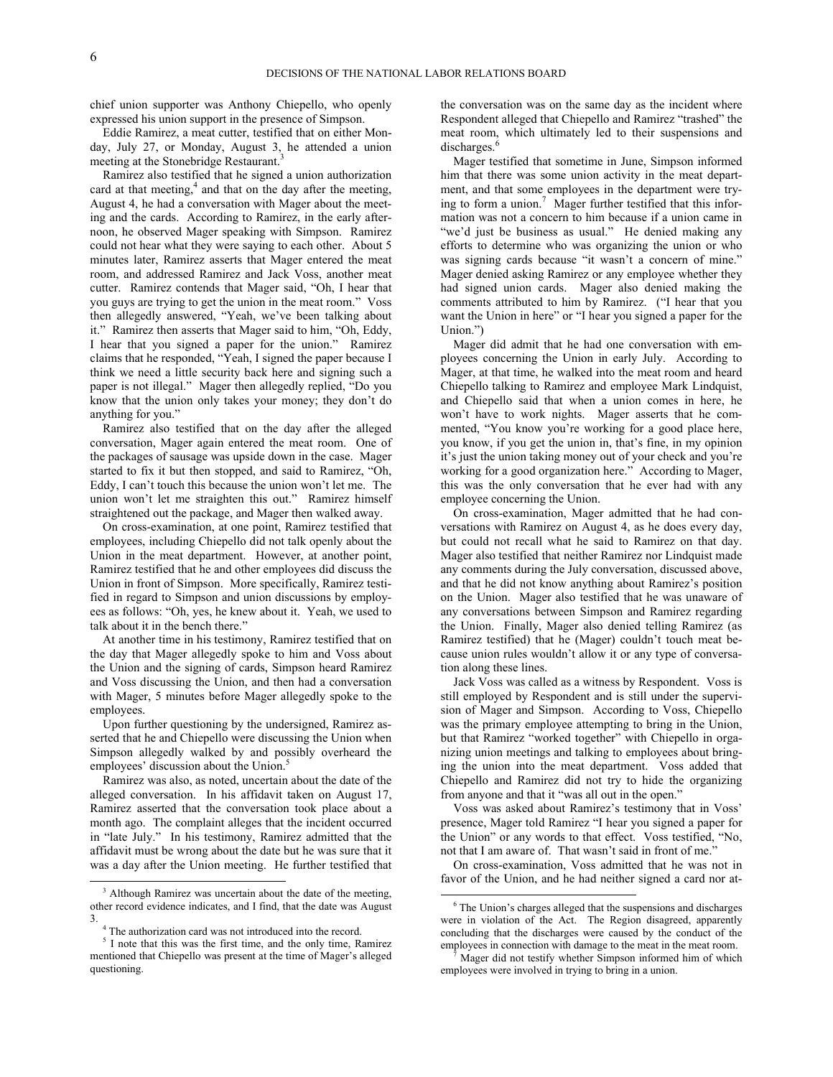chief union supporter was Anthony Chiepello, who openly expressed his union support in the presence of Simpson.

Eddie Ramirez, a meat cutter, testified that on either Monday, July 27, or Monday, August [3, h](#page-5-0)e attended a union meeting at the Stonebridge Restaurant.<sup>3</sup>

Ramirez also testified that he signed a union authorization card at that meetin[g,](#page-5-1)<sup>4</sup> and that on the day after the meeting, August 4, he had a conversation with Mager about the meeting and the cards. According to Ramirez, in the early afternoon, he observed Mager speaking with Simpson. Ramirez could not hear what they were saying to each other. About 5 minutes later, Ramirez asserts that Mager entered the meat room, and addressed Ramirez and Jack Voss, another meat cutter. Ramirez contends that Mager said, "Oh, I hear that you guys are trying to get the union in the meat room." Voss then allegedly answered, "Yeah, we've been talking about it." Ramirez then asserts that Mager said to him, "Oh, Eddy, I hear that you signed a paper for the union." Ramirez claims that he responded, "Yeah, I signed the paper because I think we need a little security back here and signing such a paper is not illegal." Mager then allegedly replied, "Do you know that the union only takes your money; they don't do anything for you."

Ramirez also testified that on the day after the alleged conversation, Mager again entered the meat room. One of the packages of sausage was upside down in the case. Mager started to fix it but then stopped, and said to Ramirez, "Oh, Eddy, I can't touch this because the union won't let me. The union won't let me straighten this out." Ramirez himself straightened out the package, and Mager then walked away.

On cross-examination, at one point, Ramirez testified that employees, including Chiepello did not talk openly about the Union in the meat department. However, at another point, Ramirez testified that he and other employees did discuss the Union in front of Simpson. More specifically, Ramirez testified in regard to Simpson and union discussions by employees as follows: "Oh, yes, he knew about it. Yeah, we used to talk about it in the bench there."

At another time in his testimony, Ramirez testified that on the day that Mager allegedly spoke to him and Voss about the Union and the signing of cards, Simpson heard Ramirez and Voss discussing the Union, and then had a conversation with Mager, 5 minutes before Mager allegedly spoke to the employees.

Upon further questioning by the undersigned, Ramirez asserted that he and Chiepello were discussing the Union when Simpson allegedly walked by and possibly overheard the employees' discussion about the Union.<sup>[5](#page-5-2)</sup>

Ramirez was also, as noted, uncertain about the date of the alleged conversation. In his affidavit taken on August 17, Ramirez asserted that the conversation took place about a month ago. The complaint alleges that the incident occurred in "late July." In his testimony, Ramirez admitted that the affidavit must be wrong about the date but he was sure that it was a day after the Union meeting. He further testified that

 $\overline{a}$ 

the conversation was on the same day as the incident where Respondent alleged that Chiepello and Ramirez "trashed" the meat room, which ultimately led to their suspensions and discharges.<sup>[6](#page-5-3)</sup>

Mager testified that sometime in June, Simpson informed him that there was some union activity in the meat department, and that some employees in the department were tryingto form a union.<sup>7</sup> Mager further testified that this information was not a concern to him because if a union came in "we'd just be business as usual." He denied making any efforts to determine who was organizing the union or who was signing cards because "it wasn't a concern of mine." Mager denied asking Ramirez or any employee whether they had signed union cards. Mager also denied making the comments attributed to him by Ramirez. ("I hear that you want the Union in here" or "I hear you signed a paper for the Union.")

Mager did admit that he had one conversation with employees concerning the Union in early July. According to Mager, at that time, he walked into the meat room and heard Chiepello talking to Ramirez and employee Mark Lindquist, and Chiepello said that when a union comes in here, he won't have to work nights. Mager asserts that he commented, "You know you're working for a good place here, you know, if you get the union in, that's fine, in my opinion it's just the union taking money out of your check and you're working for a good organization here." According to Mager, this was the only conversation that he ever had with any employee concerning the Union.

On cross-examination, Mager admitted that he had conversations with Ramirez on August 4, as he does every day, but could not recall what he said to Ramirez on that day. Mager also testified that neither Ramirez nor Lindquist made any comments during the July conversation, discussed above, and that he did not know anything about Ramirez's position on the Union. Mager also testified that he was unaware of any conversations between Simpson and Ramirez regarding the Union. Finally, Mager also denied telling Ramirez (as Ramirez testified) that he (Mager) couldn't touch meat because union rules wouldn't allow it or any type of conversation along these lines.

Jack Voss was called as a witness by Respondent. Voss is still employed by Respondent and is still under the supervision of Mager and Simpson. According to Voss, Chiepello was the primary employee attempting to bring in the Union, but that Ramirez "worked together" with Chiepello in organizing union meetings and talking to employees about bringing the union into the meat department. Voss added that Chiepello and Ramirez did not try to hide the organizing from anyone and that it "was all out in the open."

Voss was asked about Ramirez's testimony that in Voss' presence, Mager told Ramirez "I hear you signed a paper for the Union" or any words to that effect. Voss testified, "No, not that I am aware of. That wasn't said in front of me."

On cross-examination, Voss admitted that he was not in favor of the Union, and he had neither signed a card nor at-

l

<span id="page-5-3"></span><span id="page-5-0"></span><sup>&</sup>lt;sup>3</sup> Although Ramirez was uncertain about the date of the meeting, other record evidence indicates, and I find, that the date was August 3.

<sup>&</sup>lt;sup>4</sup> The authorization card was not introduced into the record.

<span id="page-5-4"></span><span id="page-5-2"></span><span id="page-5-1"></span><sup>&</sup>lt;sup>5</sup> I note that this was the first time, and the only time, Ramirez mentioned that Chiepello was present at the time of Mager's alleged questioning.

<sup>6</sup> The Union's charges alleged that the suspensions and discharges were in violation of the Act. The Region disagreed, apparently concluding that the discharges were caused by the conduct of the employees in connection with damage to the meat in the meat room.

<sup>7</sup> Mager did not testify whether Simpson informed him of which employees were involved in trying to bring in a union.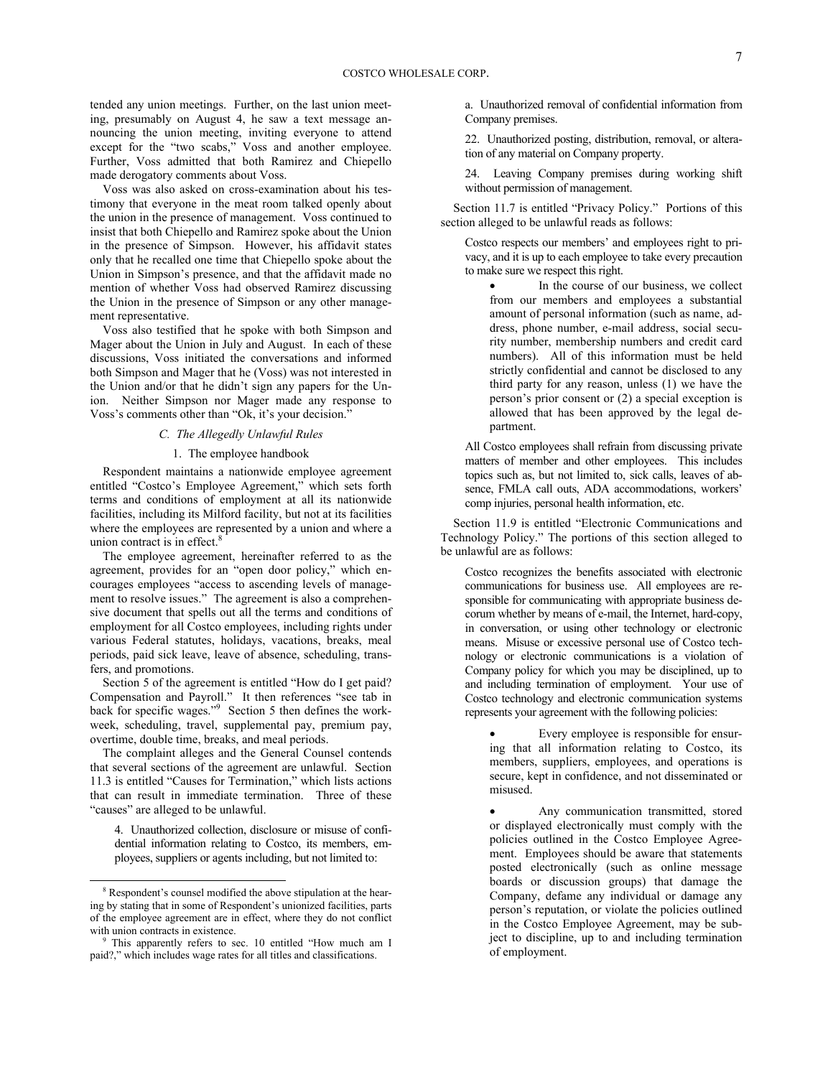tended any union meetings. Further, on the last union meeting, presumably on August 4, he saw a text message announcing the union meeting, inviting everyone to attend except for the "two scabs," Voss and another employee. Further, Voss admitted that both Ramirez and Chiepello made derogatory comments about Voss.

Voss was also asked on cross-examination about his testimony that everyone in the meat room talked openly about the union in the presence of management. Voss continued to insist that both Chiepello and Ramirez spoke about the Union in the presence of Simpson. However, his affidavit states only that he recalled one time that Chiepello spoke about the Union in Simpson's presence, and that the affidavit made no mention of whether Voss had observed Ramirez discussing the Union in the presence of Simpson or any other management representative.

Voss also testified that he spoke with both Simpson and Mager about the Union in July and August. In each of these discussions, Voss initiated the conversations and informed both Simpson and Mager that he (Voss) was not interested in the Union and/or that he didn't sign any papers for the Union. Neither Simpson nor Mager made any response to Voss's comments other than "Ok, it's your decision."

## *C. The Allegedly Unlawful Rules*

#### 1. The employee handbook

Respondent maintains a nationwide employee agreement entitled "Costco's Employee Agreement," which sets forth terms and conditions of employment at all its nationwide facilities, including its Milford facility, but not at its facilities where the employees are represented by a union and where a union contract is in effec[t.](#page-6-0) $8$ 

The employee agreement, hereinafter referred to as the agreement, provides for an "open door policy," which encourages employees "access to ascending levels of management to resolve issues." The agreement is also a comprehensive document that spells out all the terms and conditions of employment for all Costco employees, including rights under various Federal statutes, holidays, vacations, breaks, meal periods, paid sick leave, leave of absence, scheduling, transfers, and promotions.

Section 5 of the agreement is entitled "How do I get paid? Compensation and Payroll." It then references "see tab in back for specific wages.["](#page-6-1) 9 Section 5 then defines the workweek, scheduling, travel, supplemental pay, premium pay, overtime, double time, breaks, and meal periods.

The complaint alleges and the General Counsel contends that several sections of the agreement are unlawful. Section 11.3 is entitled "Causes for Termination," which lists actions that can result in immediate termination. Three of these "causes" are alleged to be unlawful.

4. Unauthorized collection, disclosure or misuse of confidential information relating to Costco, its members, employees, suppliers or agents including, but not limited to:

1

a. Unauthorized removal of confidential information from Company premises.

22. Unauthorized posting, distribution, removal, or alteration of any material on Company property.

24. Leaving Company premises during working shift without permission of management.

Section 11.7 is entitled "Privacy Policy." Portions of this section alleged to be unlawful reads as follows:

Costco respects our members' and employees right to privacy, and it is up to each employee to take every precaution to make sure we respect this right.

 In the course of our business, we collect from our members and employees a substantial amount of personal information (such as name, address, phone number, e-mail address, social security number, membership numbers and credit card numbers). All of this information must be held strictly confidential and cannot be disclosed to any third party for any reason, unless (1) we have the person's prior consent or (2) a special exception is allowed that has been approved by the legal department.

All Costco employees shall refrain from discussing private matters of member and other employees. This includes topics such as, but not limited to, sick calls, leaves of absence, FMLA call outs, ADA accommodations, workers' comp injuries, personal health information, etc.

Section 11.9 is entitled "Electronic Communications and Technology Policy." The portions of this section alleged to be unlawful are as follows:

Costco recognizes the benefits associated with electronic communications for business use. All employees are responsible for communicating with appropriate business decorum whether by means of e-mail, the Internet, hard-copy, in conversation, or using other technology or electronic means. Misuse or excessive personal use of Costco technology or electronic communications is a violation of Company policy for which you may be disciplined, up to and including termination of employment. Your use of Costco technology and electronic communication systems represents your agreement with the following policies:

 Every employee is responsible for ensuring that all information relating to Costco, its members, suppliers, employees, and operations is secure, kept in confidence, and not disseminated or misused.

 Any communication transmitted, stored or displayed electronically must comply with the policies outlined in the Costco Employee Agreement. Employees should be aware that statements posted electronically (such as online message boards or discussion groups) that damage the Company, defame any individual or damage any person's reputation, or violate the policies outlined in the Costco Employee Agreement, may be subject to discipline, up to and including termination of employment.

<span id="page-6-0"></span><sup>&</sup>lt;sup>8</sup> Respondent's counsel modified the above stipulation at the hearing by stating that in some of Respondent's unionized facilities, parts of the employee agreement are in effect, where they do not conflict with union contracts in existence.

<span id="page-6-1"></span><sup>9</sup> This apparently refers to sec. 10 entitled "How much am I paid?," which includes wage rates for all titles and classifications.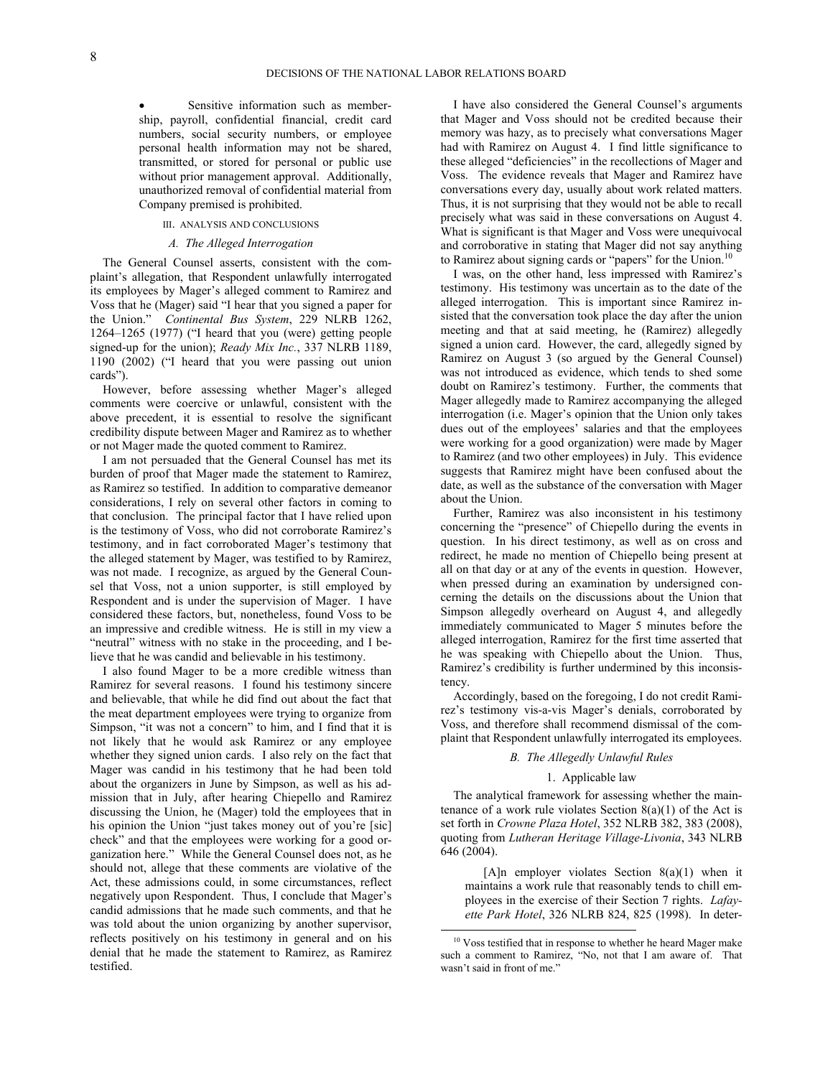Sensitive information such as membership, payroll, confidential financial, credit card numbers, social security numbers, or employee personal health information may not be shared, transmitted, or stored for personal or public use without prior management approval. Additionally, unauthorized removal of confidential material from Company premised is prohibited.

# III. ANALYSIS AND CONCLUSIONS

# *A. The Alleged Interrogation*

The General Counsel asserts, consistent with the complaint's allegation, that Respondent unlawfully interrogated its employees by Mager's alleged comment to Ramirez and Voss that he (Mager) said "I hear that you signed a paper for the Union." *Continental Bus System*, 229 NLRB 1262, 1264–1265 (1977) ("I heard that you (were) getting people signed-up for the union); *Ready Mix Inc.*, 337 NLRB 1189, 1190 (2002) ("I heard that you were passing out union cards").

However, before assessing whether Mager's alleged comments were coercive or unlawful, consistent with the above precedent, it is essential to resolve the significant credibility dispute between Mager and Ramirez as to whether or not Mager made the quoted comment to Ramirez.

I am not persuaded that the General Counsel has met its burden of proof that Mager made the statement to Ramirez, as Ramirez so testified. In addition to comparative demeanor considerations, I rely on several other factors in coming to that conclusion. The principal factor that I have relied upon is the testimony of Voss, who did not corroborate Ramirez's testimony, and in fact corroborated Mager's testimony that the alleged statement by Mager, was testified to by Ramirez, was not made. I recognize, as argued by the General Counsel that Voss, not a union supporter, is still employed by Respondent and is under the supervision of Mager. I have considered these factors, but, nonetheless, found Voss to be an impressive and credible witness. He is still in my view a "neutral" witness with no stake in the proceeding, and I believe that he was candid and believable in his testimony.

<span id="page-7-0"></span>I also found Mager to be a more credible witness than Ramirez for several reasons. I found his testimony sincere and believable, that while he did find out about the fact that the meat department employees were trying to organize from Simpson, "it was not a concern" to him, and I find that it is not likely that he would ask Ramirez or any employee whether they signed union cards. I also rely on the fact that Mager was candid in his testimony that he had been told about the organizers in June by Simpson, as well as his admission that in July, after hearing Chiepello and Ramirez discussing the Union, he (Mager) told the employees that in his opinion the Union "just takes money out of you're [sic] check" and that the employees were working for a good organization here." While the General Counsel does not, as he should not, allege that these comments are violative of the Act, these admissions could, in some circumstances, reflect negatively upon Respondent. Thus, I conclude that Mager's candid admissions that he made such comments, and that he was told about the union organizing by another supervisor, reflects positively on his testimony in general and on his denial that he made the statement to Ramirez, as Ramirez testified.

I have also considered the General Counsel's arguments that Mager and Voss should not be credited because their memory was hazy, as to precisely what conversations Mager had with Ramirez on August 4. I find little significance to these alleged "deficiencies" in the recollections of Mager and Voss. The evidence reveals that Mager and Ramirez have conversations every day, usually about work related matters. Thus, it is not surprising that they would not be able to recall precisely what was said in these conversations on August 4. What is significant is that Mager and Voss were unequivocal and corroborative in stating that Mager did not say anything to Ramirez about signing cards or "papers" for the Union.<sup>[10](#page-7-0)</sup>

I was, on the other hand, less impressed with Ramirez's testimony. His testimony was uncertain as to the date of the alleged interrogation. This is important since Ramirez insisted that the conversation took place the day after the union meeting and that at said meeting, he (Ramirez) allegedly signed a union card. However, the card, allegedly signed by Ramirez on August 3 (so argued by the General Counsel) was not introduced as evidence, which tends to shed some doubt on Ramirez's testimony. Further, the comments that Mager allegedly made to Ramirez accompanying the alleged interrogation (i.e. Mager's opinion that the Union only takes dues out of the employees' salaries and that the employees were working for a good organization) were made by Mager to Ramirez (and two other employees) in July. This evidence suggests that Ramirez might have been confused about the date, as well as the substance of the conversation with Mager about the Union.

Further, Ramirez was also inconsistent in his testimony concerning the "presence" of Chiepello during the events in question. In his direct testimony, as well as on cross and redirect, he made no mention of Chiepello being present at all on that day or at any of the events in question. However, when pressed during an examination by undersigned concerning the details on the discussions about the Union that Simpson allegedly overheard on August 4, and allegedly immediately communicated to Mager 5 minutes before the alleged interrogation, Ramirez for the first time asserted that he was speaking with Chiepello about the Union. Thus, Ramirez's credibility is further undermined by this inconsistency.

Accordingly, based on the foregoing, I do not credit Ramirez's testimony vis-a-vis Mager's denials, corroborated by Voss, and therefore shall recommend dismissal of the complaint that Respondent unlawfully interrogated its employees.

# *B. The Allegedly Unlawful Rules*

#### 1. Applicable law

The analytical framework for assessing whether the maintenance of a work rule violates Section  $8(a)(1)$  of the Act is set forth in *Crowne Plaza Hotel*, 352 NLRB 382, 383 (2008), quoting from *Lutheran Heritage Village-Livonia*, 343 NLRB 646 (2004).

[A]n employer violates Section  $8(a)(1)$  when it maintains a work rule that reasonably tends to chill employees in the exercise of their Section 7 rights. *Lafayette Park Hotel*, 326 NLRB 824, 825 (1998). In deter-

l <sup>10</sup> Voss testified that in response to whether he heard Mager make such a comment to Ramirez, "No, not that I am aware of. That wasn't said in front of me."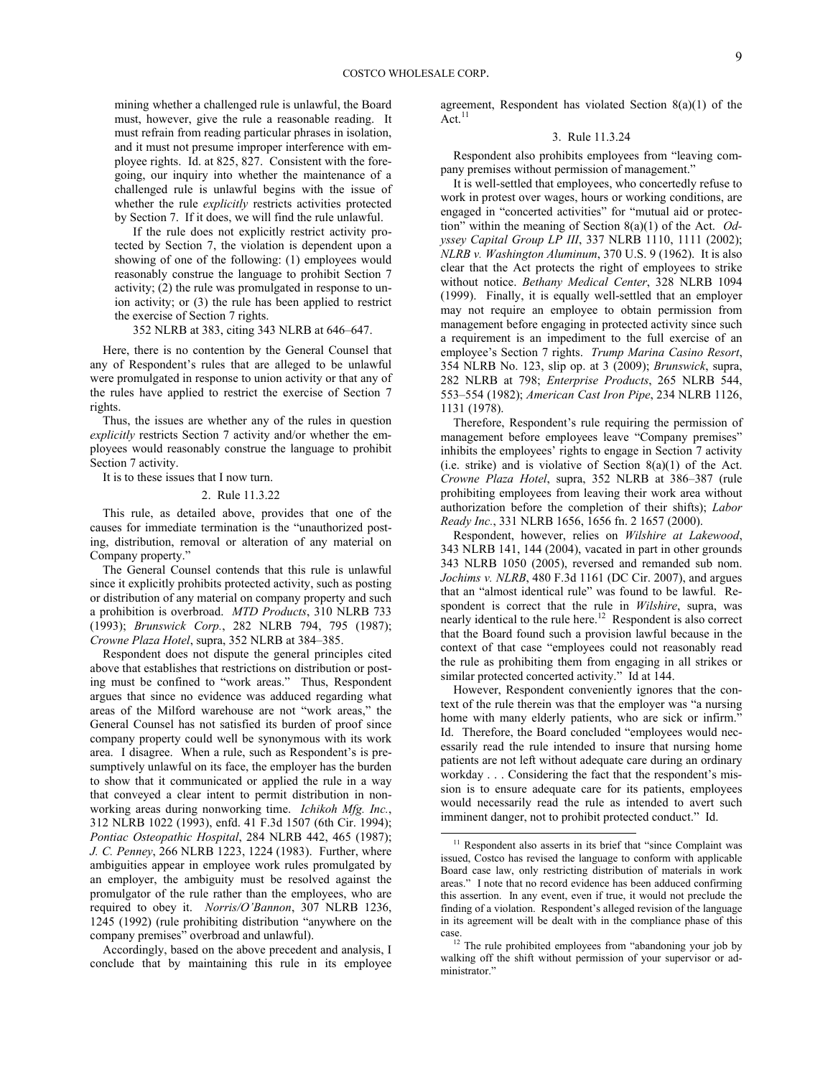mining whether a challenged rule is unlawful, the Board must, however, give the rule a reasonable reading. It must refrain from reading particular phrases in isolation, and it must not presume improper interference with employee rights. Id. at 825, 827. Consistent with the foregoing, our inquiry into whether the maintenance of a challenged rule is unlawful begins with the issue of whether the rule *explicitly* restricts activities protected by Section 7. If it does, we will find the rule unlawful.

If the rule does not explicitly restrict activity protected by Section 7, the violation is dependent upon a showing of one of the following: (1) employees would reasonably construe the language to prohibit Section 7 activity; (2) the rule was promulgated in response to union activity; or (3) the rule has been applied to restrict the exercise of Section 7 rights.

352 NLRB at 383, citing 343 NLRB at 646–647.

Here, there is no contention by the General Counsel that any of Respondent's rules that are alleged to be unlawful were promulgated in response to union activity or that any of the rules have applied to restrict the exercise of Section 7 rights.

Thus, the issues are whether any of the rules in question *explicitly* restricts Section 7 activity and/or whether the employees would reasonably construe the language to prohibit Section 7 activity.

It is to these issues that I now turn.

#### 2. Rule 11.3.22

This rule, as detailed above, provides that one of the causes for immediate termination is the "unauthorized posting, distribution, removal or alteration of any material on Company property."

The General Counsel contends that this rule is unlawful since it explicitly prohibits protected activity, such as posting or distribution of any material on company property and such a prohibition is overbroad. *MTD Products*, 310 NLRB 733 (1993); *Brunswick Corp.*, 282 NLRB 794, 795 (1987); *Crowne Plaza Hotel*, supra, 352 NLRB at 384–385.

Respondent does not dispute the general principles cited above that establishes that restrictions on distribution or posting must be confined to "work areas." Thus, Respondent argues that since no evidence was adduced regarding what areas of the Milford warehouse are not "work areas," the General Counsel has not satisfied its burden of proof since company property could well be synonymous with its work area. I disagree. When a rule, such as Respondent's is presumptively unlawful on its face, the employer has the burden to show that it communicated or applied the rule in a way that conveyed a clear intent to permit distribution in nonworking areas during nonworking time. *Ichikoh Mfg. Inc.*, 312 NLRB 1022 (1993), enfd. 41 F.3d 1507 (6th Cir. 1994); *Pontiac Osteopathic Hospital*, 284 NLRB 442, 465 (1987); *J. C. Penney*, 266 NLRB 1223, 1224 (1983). Further, where ambiguities appear in employee work rules promulgated by an employer, the ambiguity must be resolved against the promulgator of the rule rather than the employees, who are required to obey it. *Norris/O'Bannon*, 307 NLRB 1236, 1245 (1992) (rule prohibiting distribution "anywhere on the company premises" overbroad and unlawful).

<span id="page-8-1"></span><span id="page-8-0"></span>Accordingly, based on the above precedent and analysis, I conclude that by maintaining this rule in its employee agreement, Respondent has violated Section 8(a)(1) of the  $Act.<sup>11</sup>$  $Act.<sup>11</sup>$  $Act.<sup>11</sup>$ 

## 3. Rule 11.3.24

Respondent also prohibits employees from "leaving company premises without permission of management."

It is well-settled that employees, who concertedly refuse to work in protest over wages, hours or working conditions, are engaged in "concerted activities" for "mutual aid or protection" within the meaning of Section 8(a)(1) of the Act. *Odyssey Capital Group LP III*, 337 NLRB 1110, 1111 (2002); *NLRB v. Washington Aluminum*, 370 U.S. 9 (1962). It is also clear that the Act protects the right of employees to strike without notice. *Bethany Medical Center*, 328 NLRB 1094 (1999). Finally, it is equally well-settled that an employer may not require an employee to obtain permission from management before engaging in protected activity since such a requirement is an impediment to the full exercise of an employee's Section 7 rights. *Trump Marina Casino Resort*, 354 NLRB No. 123, slip op. at 3 (2009); *Brunswick*, supra, 282 NLRB at 798; *Enterprise Products*, 265 NLRB 544, 553–554 (1982); *American Cast Iron Pipe*, 234 NLRB 1126, 1131 (1978).

Therefore, Respondent's rule requiring the permission of management before employees leave "Company premises" inhibits the employees' rights to engage in Section 7 activity (i.e. strike) and is violative of Section  $8(a)(1)$  of the Act. *Crowne Plaza Hotel*, supra, 352 NLRB at 386–387 (rule prohibiting employees from leaving their work area without authorization before the completion of their shifts); *Labor Ready Inc.*, 331 NLRB 1656, 1656 fn. 2 1657 (2000).

Respondent, however, relies on *Wilshire at Lakewood*, 343 NLRB 141, 144 (2004), vacated in part in other grounds 343 NLRB 1050 (2005), reversed and remanded sub nom. *Jochims v. NLRB*, 480 F.3d 1161 (DC Cir. 2007), and argues that an "almost identical rule" was found to be lawful. Respondent is correct that the rule in *Wilshire*, supra, was nearly identical to the rule here.<sup>[12](#page-8-1)</sup> Respondent is also correct that the Board found such a provision lawful because in the context of that case "employees could not reasonably read the rule as prohibiting them from engaging in all strikes or similar protected concerted activity." Id at 144.

However, Respondent conveniently ignores that the context of the rule therein was that the employer was "a nursing home with many elderly patients, who are sick or infirm.' Id. Therefore, the Board concluded "employees would necessarily read the rule intended to insure that nursing home patients are not left without adequate care during an ordinary workday . . . Considering the fact that the respondent's mission is to ensure adequate care for its patients, employees would necessarily read the rule as intended to avert such imminent danger, not to prohibit protected conduct." Id.

 $\overline{a}$ 

<sup>&</sup>lt;sup>11</sup> Respondent also asserts in its brief that "since Complaint was issued, Costco has revised the language to conform with applicable Board case law, only restricting distribution of materials in work areas." I note that no record evidence has been adduced confirming this assertion. In any event, even if true, it would not preclude the finding of a violation. Respondent's alleged revision of the language in its agreement will be dealt with in the compliance phase of this case.

<sup>&</sup>lt;sup>12</sup> The rule prohibited employees from "abandoning your job by walking off the shift without permission of your supervisor or administrator<sup>"</sup>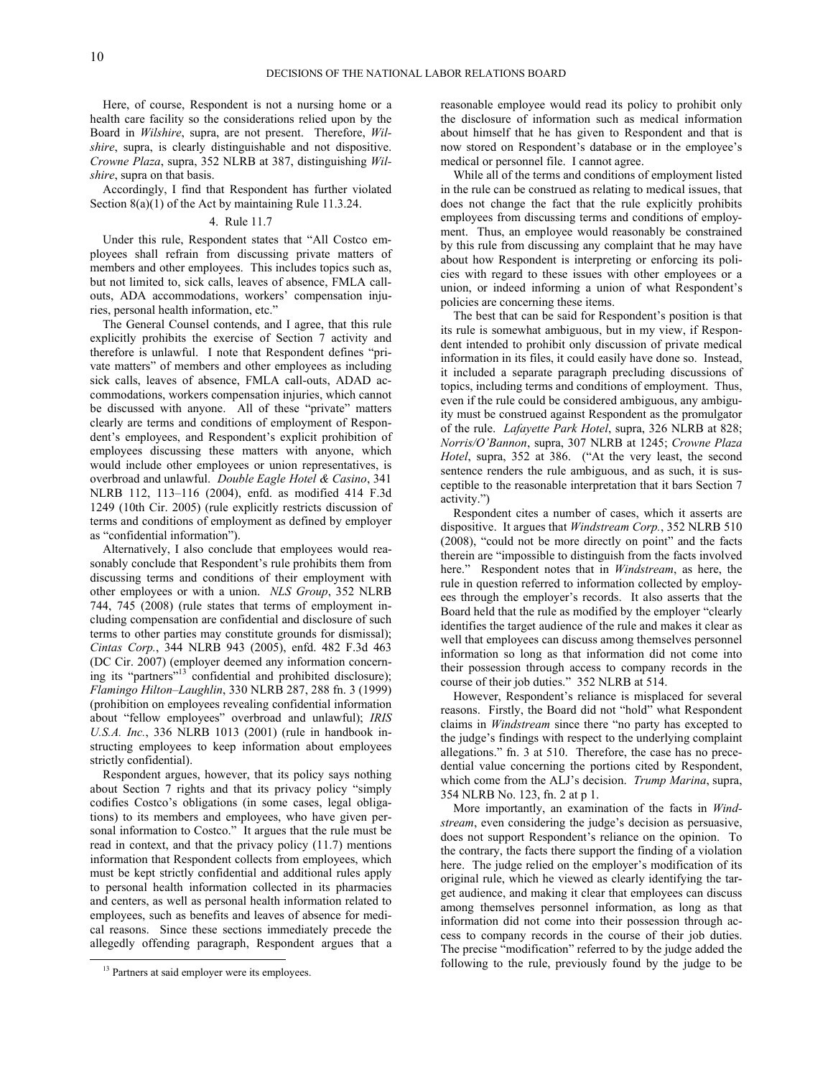Here, of course, Respondent is not a nursing home or a health care facility so the considerations relied upon by the Board in *Wilshire*, supra, are not present. Therefore, *Wilshire*, supra, is clearly distinguishable and not dispositive. *Crowne Plaza*, supra, 352 NLRB at 387, distinguishing *Wilshire*, supra on that basis.

Accordingly, I find that Respondent has further violated Section 8(a)(1) of the Act by maintaining Rule 11.3.24.

### 4. Rule 11.7

Under this rule, Respondent states that "All Costco employees shall refrain from discussing private matters of members and other employees. This includes topics such as, but not limited to, sick calls, leaves of absence, FMLA callouts, ADA accommodations, workers' compensation injuries, personal health information, etc."

The General Counsel contends, and I agree, that this rule explicitly prohibits the exercise of Section 7 activity and therefore is unlawful. I note that Respondent defines "private matters" of members and other employees as including sick calls, leaves of absence, FMLA call-outs, ADAD accommodations, workers compensation injuries, which cannot be discussed with anyone. All of these "private" matters clearly are terms and conditions of employment of Respondent's employees, and Respondent's explicit prohibition of employees discussing these matters with anyone, which would include other employees or union representatives, is overbroad and unlawful. *Double Eagle Hotel & Casino*, 341 NLRB 112, 113–116 (2004), enfd. as modified 414 F.3d 1249 (10th Cir. 2005) (rule explicitly restricts discussion of terms and conditions of employment as defined by employer as "confidential information").

Alternatively, I also conclude that employees would reasonably conclude that Respondent's rule prohibits them from discussing terms and conditions of their employment with other employees or with a union. *NLS Group*, 352 NLRB 744, 745 (2008) (rule states that terms of employment including compensation are confidential and disclosure of such terms to other parties may constitute grounds for dismissal); *Cintas Corp.*, 344 NLRB 943 (2005), enfd. 482 F.3d 463 (DC Cir. 2007) (employer deemed any information concern-ing its "partners"<sup>[13](#page-9-0)</sup> confidential and prohibited disclosure); *Flamingo Hilton*–*Laughlin*, 330 NLRB 287, 288 fn. 3 (1999) (prohibition on employees revealing confidential information about "fellow employees" overbroad and unlawful); *IRIS U.S.A. Inc.*, 336 NLRB 1013 (2001) (rule in handbook instructing employees to keep information about employees strictly confidential).

Respondent argues, however, that its policy says nothing about Section 7 rights and that its privacy policy "simply codifies Costco's obligations (in some cases, legal obligations) to its members and employees, who have given personal information to Costco." It argues that the rule must be read in context, and that the privacy policy (11.7) mentions information that Respondent collects from employees, which must be kept strictly confidential and additional rules apply to personal health information collected in its pharmacies and centers, as well as personal health information related to employees, such as benefits and leaves of absence for medical reasons. Since these sections immediately precede the allegedly offending paragraph, Respondent argues that a

<span id="page-9-0"></span>-

reasonable employee would read its policy to prohibit only the disclosure of information such as medical information about himself that he has given to Respondent and that is now stored on Respondent's database or in the employee's medical or personnel file. I cannot agree.

While all of the terms and conditions of employment listed in the rule can be construed as relating to medical issues, that does not change the fact that the rule explicitly prohibits employees from discussing terms and conditions of employment. Thus, an employee would reasonably be constrained by this rule from discussing any complaint that he may have about how Respondent is interpreting or enforcing its policies with regard to these issues with other employees or a union, or indeed informing a union of what Respondent's policies are concerning these items.

The best that can be said for Respondent's position is that its rule is somewhat ambiguous, but in my view, if Respondent intended to prohibit only discussion of private medical information in its files, it could easily have done so. Instead, it included a separate paragraph precluding discussions of topics, including terms and conditions of employment. Thus, even if the rule could be considered ambiguous, any ambiguity must be construed against Respondent as the promulgator of the rule. *Lafayette Park Hotel*, supra, 326 NLRB at 828; *Norris/O'Bannon*, supra, 307 NLRB at 1245; *Crowne Plaza Hotel*, supra, 352 at 386. ("At the very least, the second sentence renders the rule ambiguous, and as such, it is susceptible to the reasonable interpretation that it bars Section 7 activity.")

Respondent cites a number of cases, which it asserts are dispositive. It argues that *Windstream Corp.*, 352 NLRB 510 (2008), "could not be more directly on point" and the facts therein are "impossible to distinguish from the facts involved here." Respondent notes that in *Windstream*, as here, the rule in question referred to information collected by employees through the employer's records. It also asserts that the Board held that the rule as modified by the employer "clearly identifies the target audience of the rule and makes it clear as well that employees can discuss among themselves personnel information so long as that information did not come into their possession through access to company records in the course of their job duties." 352 NLRB at 514.

However, Respondent's reliance is misplaced for several reasons. Firstly, the Board did not "hold" what Respondent claims in *Windstream* since there "no party has excepted to the judge's findings with respect to the underlying complaint allegations." fn. 3 at 510. Therefore, the case has no precedential value concerning the portions cited by Respondent, which come from the ALJ's decision. *Trump Marina*, supra, 354 NLRB No. 123, fn. 2 at p 1.

More importantly, an examination of the facts in *Windstream*, even considering the judge's decision as persuasive, does not support Respondent's reliance on the opinion. To the contrary, the facts there support the finding of a violation here. The judge relied on the employer's modification of its original rule, which he viewed as clearly identifying the target audience, and making it clear that employees can discuss among themselves personnel information, as long as that information did not come into their possession through access to company records in the course of their job duties. The precise "modification" referred to by the judge added the following to the rule, previously found by the judge to be

<sup>&</sup>lt;sup>13</sup> Partners at said employer were its employees.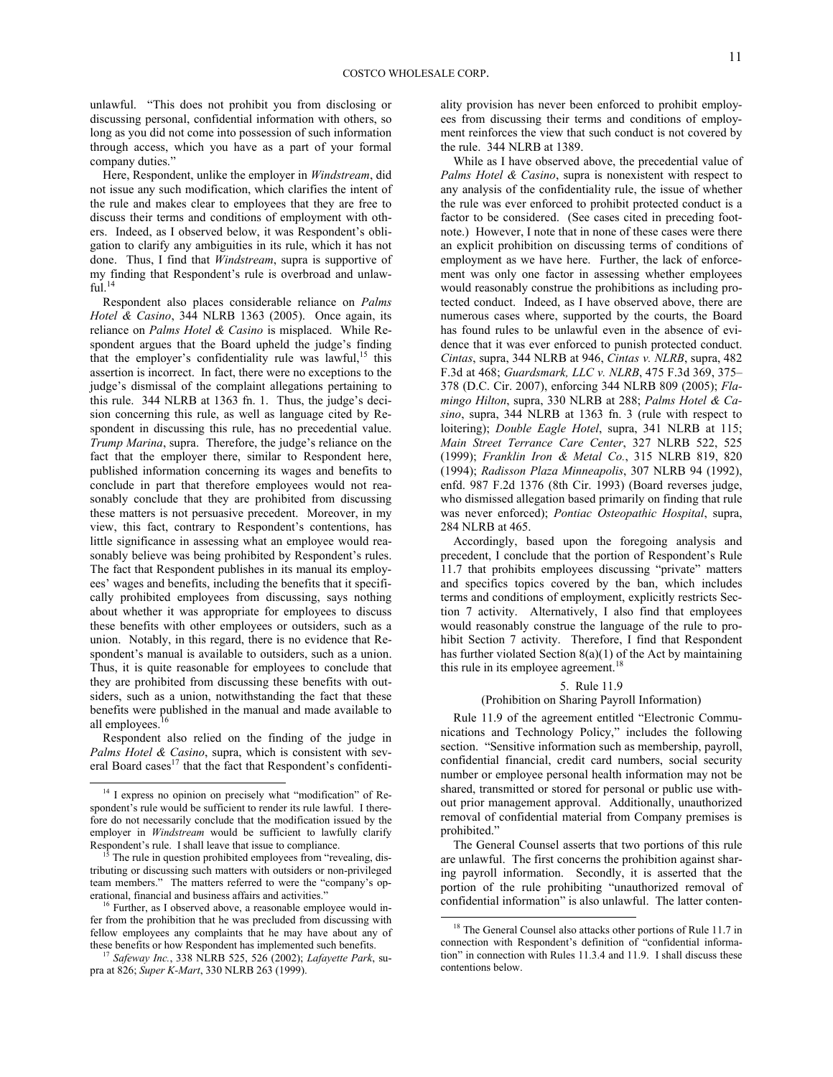unlawful. "This does not prohibit you from disclosing or discussing personal, confidential information with others, so long as you did not come into possession of such information through access, which you have as a part of your formal company duties."

Here, Respondent, unlike the employer in *Windstream*, did not issue any such modification, which clarifies the intent of the rule and makes clear to employees that they are free to discuss their terms and conditions of employment with others. Indeed, as I observed below, it was Respondent's obligation to clarify any ambiguities in its rule, which it has not done. Thus, I find that *Windstream*, supra is supportive of my finding that Respondent's rule is overbroad and unlaw- $ful.<sup>14</sup>$  $ful.<sup>14</sup>$  $ful.<sup>14</sup>$ 

Respondent also places considerable reliance on *Palms Hotel & Casino*, 344 NLRB 1363 (2005). Once again, its reliance on *Palms Hotel & Casino* is misplaced. While Respondent argues that the Board upheld the judge's finding that the employer's confidentiality rule was lawful,<sup>[15](#page-10-1)</sup> this assertion is incorrect. In fact, there were no exceptions to the judge's dismissal of the complaint allegations pertaining to this rule. 344 NLRB at 1363 fn. 1. Thus, the judge's decision concerning this rule, as well as language cited by Respondent in discussing this rule, has no precedential value. *Trump Marina*, supra. Therefore, the judge's reliance on the fact that the employer there, similar to Respondent here, published information concerning its wages and benefits to conclude in part that therefore employees would not reasonably conclude that they are prohibited from discussing these matters is not persuasive precedent. Moreover, in my view, this fact, contrary to Respondent's contentions, has little significance in assessing what an employee would reasonably believe was being prohibited by Respondent's rules. The fact that Respondent publishes in its manual its employees' wages and benefits, including the benefits that it specifically prohibited employees from discussing, says nothing about whether it was appropriate for employees to discuss these benefits with other employees or outsiders, such as a union. Notably, in this regard, there is no evidence that Respondent's manual is available to outsiders, such as a union. Thus, it is quite reasonable for employees to conclude that they are prohibited from discussing these benefits with outsiders, such as a union, notwithstanding the fact that these benefits were published in the manual and made available to all employees.<sup>[16](#page-10-2)</sup>

Respondent also relied on the finding of the judge in *Palms Hotel & Casino*, supra, which is consistent with sev-eral Board cases<sup>[17](#page-10-3)</sup> that the fact that Respondent's confidenti-

 $\overline{a}$ 

ality provision has never been enforced to prohibit employees from discussing their terms and conditions of employment reinforces the view that such conduct is not covered by the rule. 344 NLRB at 1389.

While as I have observed above, the precedential value of *Palms Hotel & Casino*, supra is nonexistent with respect to any analysis of the confidentiality rule, the issue of whether the rule was ever enforced to prohibit protected conduct is a factor to be considered. (See cases cited in preceding footnote.) However, I note that in none of these cases were there an explicit prohibition on discussing terms of conditions of employment as we have here. Further, the lack of enforcement was only one factor in assessing whether employees would reasonably construe the prohibitions as including protected conduct. Indeed, as I have observed above, there are numerous cases where, supported by the courts, the Board has found rules to be unlawful even in the absence of evidence that it was ever enforced to punish protected conduct. *Cintas*, supra, 344 NLRB at 946, *Cintas v. NLRB*, supra, 482 F.3d at 468; *Guardsmark, LLC v. NLRB*, 475 F.3d 369, 375– 378 (D.C. Cir. 2007), enforcing 344 NLRB 809 (2005); *Flamingo Hilton*, supra, 330 NLRB at 288; *Palms Hotel & Casino*, supra, 344 NLRB at 1363 fn. 3 (rule with respect to loitering); *Double Eagle Hotel*, supra, 341 NLRB at 115; *Main Street Terrance Care Center*, 327 NLRB 522, 525 (1999); *Franklin Iron & Metal Co.*, 315 NLRB 819, 820 (1994); *Radisson Plaza Minneapolis*, 307 NLRB 94 (1992), enfd. 987 F.2d 1376 (8th Cir. 1993) (Board reverses judge, who dismissed allegation based primarily on finding that rule was never enforced); *Pontiac Osteopathic Hospital*, supra, 284 NLRB at 465.

Accordingly, based upon the foregoing analysis and precedent, I conclude that the portion of Respondent's Rule 11.7 that prohibits employees discussing "private" matters and specifics topics covered by the ban, which includes terms and conditions of employment, explicitly restricts Section 7 activity. Alternatively, I also find that employees would reasonably construe the language of the rule to prohibit Section 7 activity. Therefore, I find that Respondent has further violated Section  $8(a)(1)$  of the Act by maintaining this rule in its employee agreement.<sup>[18](#page-10-4)</sup>

### 5. Rule 11.9

## (Prohibition on Sharing Payroll Information)

Rule 11.9 of the agreement entitled "Electronic Communications and Technology Policy," includes the following section. "Sensitive information such as membership, payroll, confidential financial, credit card numbers, social security number or employee personal health information may not be shared, transmitted or stored for personal or public use without prior management approval. Additionally, unauthorized removal of confidential material from Company premises is prohibited."

The General Counsel asserts that two portions of this rule are unlawful. The first concerns the prohibition against sharing payroll information. Secondly, it is asserted that the portion of the rule prohibiting "unauthorized removal of confidential information" is also unlawful. The latter conten-

 $\overline{a}$ 

<span id="page-10-0"></span><sup>&</sup>lt;sup>14</sup> I express no opinion on precisely what "modification" of Respondent's rule would be sufficient to render its rule lawful. I therefore do not necessarily conclude that the modification issued by the employer in *Windstream* would be sufficient to lawfully clarify Respondent's rule. I shall leave that issue to compliance.

<span id="page-10-1"></span>The rule in question prohibited employees from "revealing, distributing or discussing such matters with outsiders or non-privileged team members." The matters referred to were the "company's operational, financial and business affairs and activities."

<span id="page-10-4"></span><span id="page-10-2"></span><sup>&</sup>lt;sup>16</sup> Further, as I observed above, a reasonable employee would infer from the prohibition that he was precluded from discussing with fellow employees any complaints that he may have about any of these benefits or how Respondent has implemented such benefits.

<span id="page-10-3"></span><sup>17</sup> *Safeway Inc.*, 338 NLRB 525, 526 (2002); *Lafayette Park*, supra at 826; *Super K-Mart*, 330 NLRB 263 (1999).

<sup>&</sup>lt;sup>18</sup> The General Counsel also attacks other portions of Rule 11.7 in connection with Respondent's definition of "confidential information" in connection with Rules 11.3.4 and 11.9. I shall discuss these contentions below.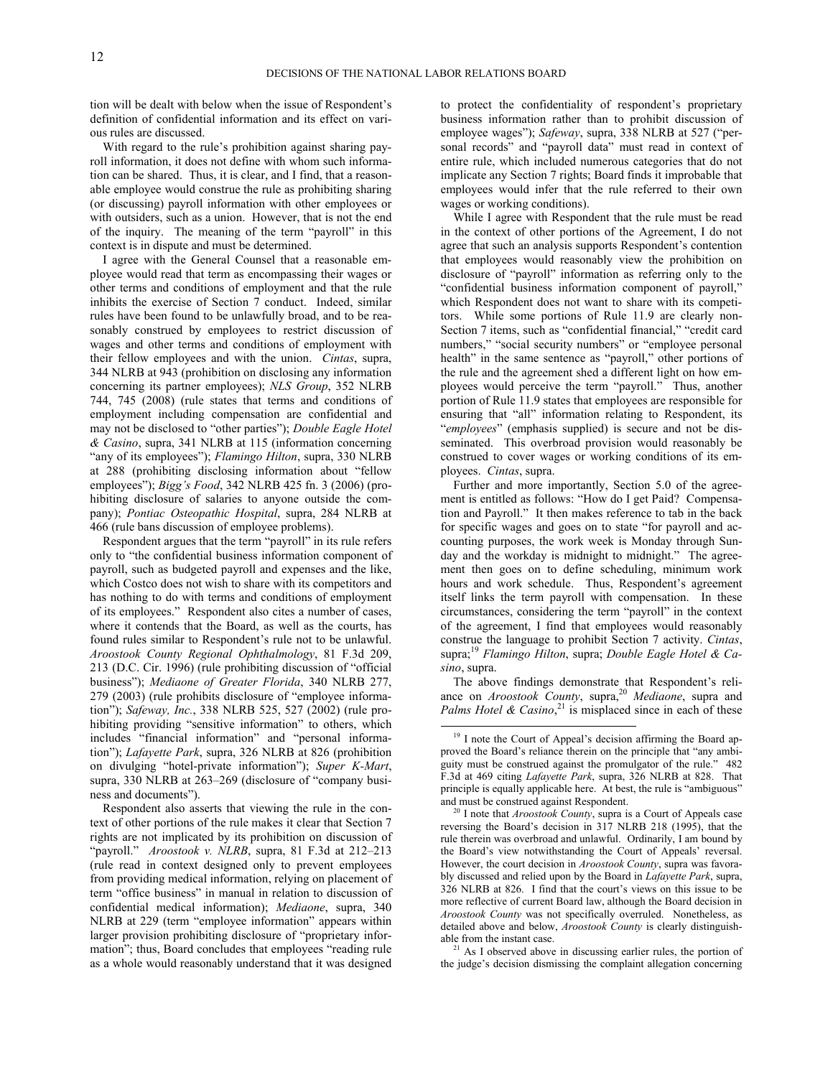tion will be dealt with below when the issue of Respondent's definition of confidential information and its effect on various rules are discussed.

With regard to the rule's prohibition against sharing payroll information, it does not define with whom such information can be shared. Thus, it is clear, and I find, that a reasonable employee would construe the rule as prohibiting sharing (or discussing) payroll information with other employees or with outsiders, such as a union. However, that is not the end of the inquiry. The meaning of the term "payroll" in this context is in dispute and must be determined.

I agree with the General Counsel that a reasonable employee would read that term as encompassing their wages or other terms and conditions of employment and that the rule inhibits the exercise of Section 7 conduct. Indeed, similar rules have been found to be unlawfully broad, and to be reasonably construed by employees to restrict discussion of wages and other terms and conditions of employment with their fellow employees and with the union. *Cintas*, supra, 344 NLRB at 943 (prohibition on disclosing any information concerning its partner employees); *NLS Group*, 352 NLRB 744, 745 (2008) (rule states that terms and conditions of employment including compensation are confidential and may not be disclosed to "other parties"); *Double Eagle Hotel & Casino*, supra, 341 NLRB at 115 (information concerning "any of its employees"); *Flamingo Hilton*, supra, 330 NLRB at 288 (prohibiting disclosing information about "fellow employees"); *Bigg's Food*, 342 NLRB 425 fn. 3 (2006) (prohibiting disclosure of salaries to anyone outside the company); *Pontiac Osteopathic Hospital*, supra, 284 NLRB at 466 (rule bans discussion of employee problems).

Respondent argues that the term "payroll" in its rule refers only to "the confidential business information component of payroll, such as budgeted payroll and expenses and the like, which Costco does not wish to share with its competitors and has nothing to do with terms and conditions of employment of its employees." Respondent also cites a number of cases, where it contends that the Board, as well as the courts, has found rules similar to Respondent's rule not to be unlawful. *Aroostook County Regional Ophthalmology*, 81 F.3d 209, 213 (D.C. Cir. 1996) (rule prohibiting discussion of "official business"); *Mediaone of Greater Florida*, 340 NLRB 277, 279 (2003) (rule prohibits disclosure of "employee information"); *Safeway, Inc.*, 338 NLRB 525, 527 (2002) (rule prohibiting providing "sensitive information" to others, which includes "financial information" and "personal information"); *Lafayette Park*, supra, 326 NLRB at 826 (prohibition on divulging "hotel-private information"); *Super K-Mart*, supra, 330 NLRB at 263–269 (disclosure of "company business and documents").

<span id="page-11-2"></span><span id="page-11-1"></span><span id="page-11-0"></span>Respondent also asserts that viewing the rule in the context of other portions of the rule makes it clear that Section 7 rights are not implicated by its prohibition on discussion of "payroll." *Aroostook v. NLRB*, supra, 81 F.3d at 212–213 (rule read in context designed only to prevent employees from providing medical information, relying on placement of term "office business" in manual in relation to discussion of confidential medical information); *Mediaone*, supra, 340 NLRB at 229 (term "employee information" appears within larger provision prohibiting disclosure of "proprietary information"; thus, Board concludes that employees "reading rule as a whole would reasonably understand that it was designed

to protect the confidentiality of respondent's proprietary business information rather than to prohibit discussion of employee wages"); *Safeway*, supra, 338 NLRB at 527 ("personal records" and "payroll data" must read in context of entire rule, which included numerous categories that do not implicate any Section 7 rights; Board finds it improbable that employees would infer that the rule referred to their own wages or working conditions).

While I agree with Respondent that the rule must be read in the context of other portions of the Agreement, I do not agree that such an analysis supports Respondent's contention that employees would reasonably view the prohibition on disclosure of "payroll" information as referring only to the "confidential business information component of payroll," which Respondent does not want to share with its competitors. While some portions of Rule 11.9 are clearly non-Section 7 items, such as "confidential financial," "credit card numbers," "social security numbers" or "employee personal health" in the same sentence as "payroll," other portions of the rule and the agreement shed a different light on how employees would perceive the term "payroll." Thus, another portion of Rule 11.9 states that employees are responsible for ensuring that "all" information relating to Respondent, its "*employees*" (emphasis supplied) is secure and not be disseminated. This overbroad provision would reasonably be construed to cover wages or working conditions of its employees. *Cintas*, supra.

Further and more importantly, Section 5.0 of the agreement is entitled as follows: "How do I get Paid? Compensation and Payroll." It then makes reference to tab in the back for specific wages and goes on to state "for payroll and accounting purposes, the work week is Monday through Sunday and the workday is midnight to midnight." The agreement then goes on to define scheduling, minimum work hours and work schedule. Thus, Respondent's agreement itself links the term payroll with compensation. In these circumstances, considering the term "payroll" in the context of the agreement, I find that employees would reasonably construe the language to prohibit Section 7 activity. *Cintas*, supra;[19](#page-11-0) *Flamingo Hilton*, supra; *Double Eagle Hotel & Casino*, supra.

The above findings demonstrate that Respondent's reliance on *Aroostook County*, supra,[20](#page-11-1) *Mediaone*, supra and Palms Hotel  $\&$  Casino,<sup>[21](#page-11-2)</sup> is misplaced since in each of these

 $\overline{a}$ 

<sup>21</sup> As I observed above in discussing earlier rules, the portion of the judge's decision dismissing the complaint allegation concerning

<sup>&</sup>lt;sup>19</sup> I note the Court of Appeal's decision affirming the Board approved the Board's reliance therein on the principle that "any ambiguity must be construed against the promulgator of the rule." 482 F.3d at 469 citing *Lafayette Park*, supra, 326 NLRB at 828. That principle is equally applicable here. At best, the rule is "ambiguous" and must be construed against Respondent.

<sup>20</sup> I note that *Aroostook County*, supra is a Court of Appeals case reversing the Board's decision in 317 NLRB 218 (1995), that the rule therein was overbroad and unlawful. Ordinarily, I am bound by the Board's view notwithstanding the Court of Appeals' reversal. However, the court decision in *Aroostook County*, supra was favorably discussed and relied upon by the Board in *Lafayette Park*, supra, 326 NLRB at 826. I find that the court's views on this issue to be more reflective of current Board law, although the Board decision in *Aroostook County* was not specifically overruled. Nonetheless, as detailed above and below, *Aroostook County* is clearly distinguishable from the instant case.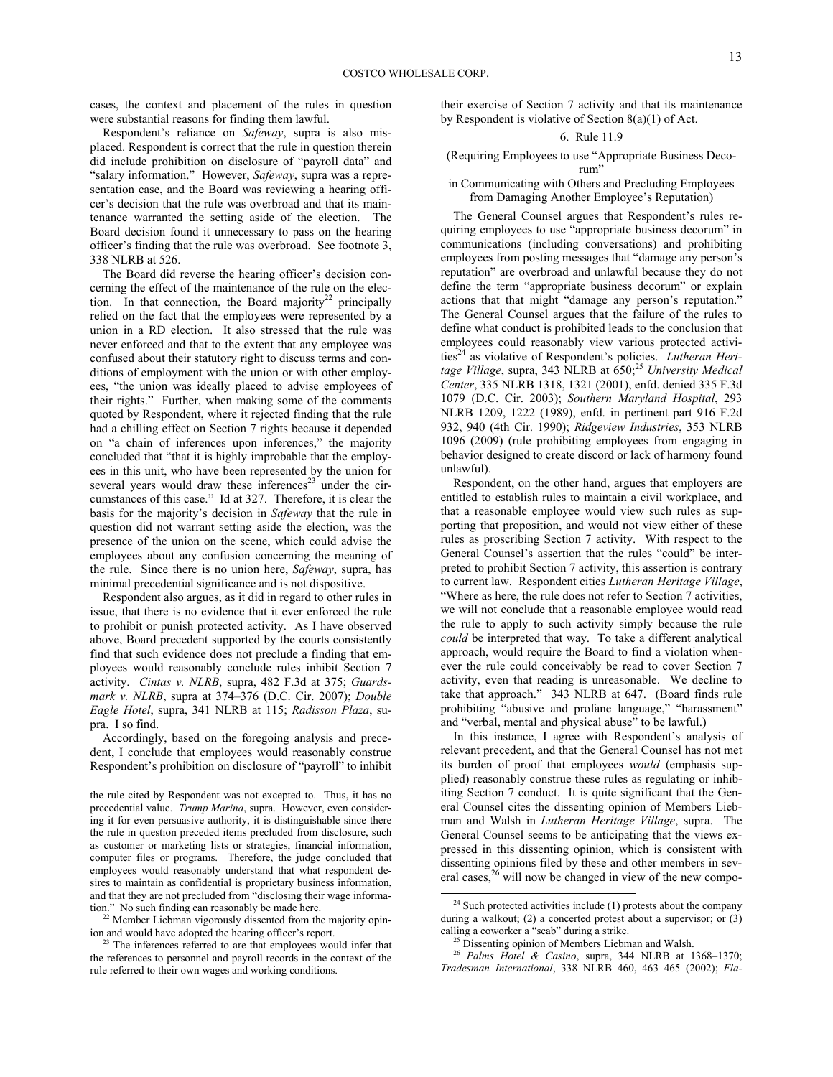cases, the context and placement of the rules in question were substantial reasons for finding them lawful.

Respondent's reliance on *Safeway*, supra is also misplaced. Respondent is correct that the rule in question therein did include prohibition on disclosure of "payroll data" and "salary information." However, *Safeway*, supra was a representation case, and the Board was reviewing a hearing officer's decision that the rule was overbroad and that its maintenance warranted the setting aside of the election. The Board decision found it unnecessary to pass on the hearing officer's finding that the rule was overbroad. See footnote 3, 338 NLRB at 526.

The Board did reverse the hearing officer's decision concerning the effect of the maintenance of the rule on the elec-tion. In that connection, the Board majority<sup>[22](#page-12-0)</sup> principally relied on the fact that the employees were represented by a union in a RD election. It also stressed that the rule was never enforced and that to the extent that any employee was confused about their statutory right to discuss terms and conditions of employment with the union or with other employees, "the union was ideally placed to advise employees of their rights." Further, when making some of the comments quoted by Respondent, where it rejected finding that the rule had a chilling effect on Section 7 rights because it depended on "a chain of inferences upon inferences," the majority concluded that "that it is highly improbable that the employees in this unit, who have been represented by the union for several years would draw these inferences $23$  under the circumstances of this case." Id at 327. Therefore, it is clear the basis for the majority's decision in *Safeway* that the rule in question did not warrant setting aside the election, was the presence of the union on the scene, which could advise the employees about any confusion concerning the meaning of the rule. Since there is no union here, *Safeway*, supra, has minimal precedential significance and is not dispositive.

Respondent also argues, as it did in regard to other rules in issue, that there is no evidence that it ever enforced the rule to prohibit or punish protected activity. As I have observed above, Board precedent supported by the courts consistently find that such evidence does not preclude a finding that employees would reasonably conclude rules inhibit Section 7 activity. *Cintas v. NLRB*, supra, 482 F.3d at 375; *Guardsmark v. NLRB*, supra at 374–376 (D.C. Cir. 2007); *Double Eagle Hotel*, supra, 341 NLRB at 115; *Radisson Plaza*, supra. I so find.

Accordingly, based on the foregoing analysis and precedent, I conclude that employees would reasonably construe Respondent's prohibition on disclosure of "payroll" to inhibit

<span id="page-12-2"></span><span id="page-12-0"></span><sup>22</sup> Member Liebman vigorously dissented from the majority opinion and would have adopted the hearing officer's report.

their exercise of Section 7 activity and that its maintenance by Respondent is violative of Section 8(a)(1) of Act.

# 6. Rule 11.9

(Requiring Employees to use "Appropriate Business Decorum"

# in Communicating with Others and Precluding Employees from Damaging Another Employee's Reputation)

The General Counsel argues that Respondent's rules requiring employees to use "appropriate business decorum" in communications (including conversations) and prohibiting employees from posting messages that "damage any person's reputation" are overbroad and unlawful because they do not define the term "appropriate business decorum" or explain actions that that might "damage any person's reputation." The General Counsel argues that the failure of the rules to define what conduct is prohibited leads to the conclusion that employees could reasonably view various protected activi-ties<sup>[24](#page-12-2)</sup> as violative of Respondent's policies. *Lutheran Heritage Village*, supra, 343 NLRB at 650; [25](#page-12-3) *University Medical Center*, 335 NLRB 1318, 1321 (2001), enfd. denied 335 F.3d 1079 (D.C. Cir. 2003); *Southern Maryland Hospital*, 293 NLRB 1209, 1222 (1989), enfd. in pertinent part 916 F.2d 932, 940 (4th Cir. 1990); *Ridgeview Industries*, 353 NLRB 1096 (2009) (rule prohibiting employees from engaging in behavior designed to create discord or lack of harmony found unlawful).

Respondent, on the other hand, argues that employers are entitled to establish rules to maintain a civil workplace, and that a reasonable employee would view such rules as supporting that proposition, and would not view either of these rules as proscribing Section 7 activity. With respect to the General Counsel's assertion that the rules "could" be interpreted to prohibit Section 7 activity, this assertion is contrary to current law. Respondent cities *Lutheran Heritage Village*, "Where as here, the rule does not refer to Section 7 activities, we will not conclude that a reasonable employee would read the rule to apply to such activity simply because the rule *could* be interpreted that way. To take a different analytical approach, would require the Board to find a violation whenever the rule could conceivably be read to cover Section 7 activity, even that reading is unreasonable. We decline to take that approach." 343 NLRB at 647. (Board finds rule prohibiting "abusive and profane language," "harassment" and "verbal, mental and physical abuse" to be lawful.)

In this instance, I agree with Respondent's analysis of relevant precedent, and that the General Counsel has not met its burden of proof that employees *would* (emphasis supplied) reasonably construe these rules as regulating or inhibiting Section 7 conduct. It is quite significant that the General Counsel cites the dissenting opinion of Members Liebman and Walsh in *Lutheran Heritage Village*, supra. The General Counsel seems to be anticipating that the views expressed in this dissenting opinion, which is consistent with dissenting opinions filed by these and other members in several cases, $26$  will now be changed in view of the new compo-

l

l the rule cited by Respondent was not excepted to. Thus, it has no precedential value. *Trump Marina*, supra. However, even considering it for even persuasive authority, it is distinguishable since there the rule in question preceded items precluded from disclosure, such as customer or marketing lists or strategies, financial information, computer files or programs. Therefore, the judge concluded that employees would reasonably understand that what respondent desires to maintain as confidential is proprietary business information, and that they are not precluded from "disclosing their wage information." No such finding can reasonably be made here.

<span id="page-12-4"></span><span id="page-12-3"></span><span id="page-12-1"></span><sup>&</sup>lt;sup>23</sup> The inferences referred to are that employees would infer that the references to personnel and payroll records in the context of the rule referred to their own wages and working conditions.

 $24$  Such protected activities include (1) protests about the company during a walkout; (2) a concerted protest about a supervisor; or (3) calling a coworker a "scab" during a strike.

<sup>&</sup>lt;sup>25</sup> Dissenting opinion of Members Liebman and Walsh.

<sup>26</sup> *Palms Hotel & Casino*, supra, 344 NLRB at 1368–1370; *Tradesman International*, 338 NLRB 460, 463–465 (2002); *Fla-*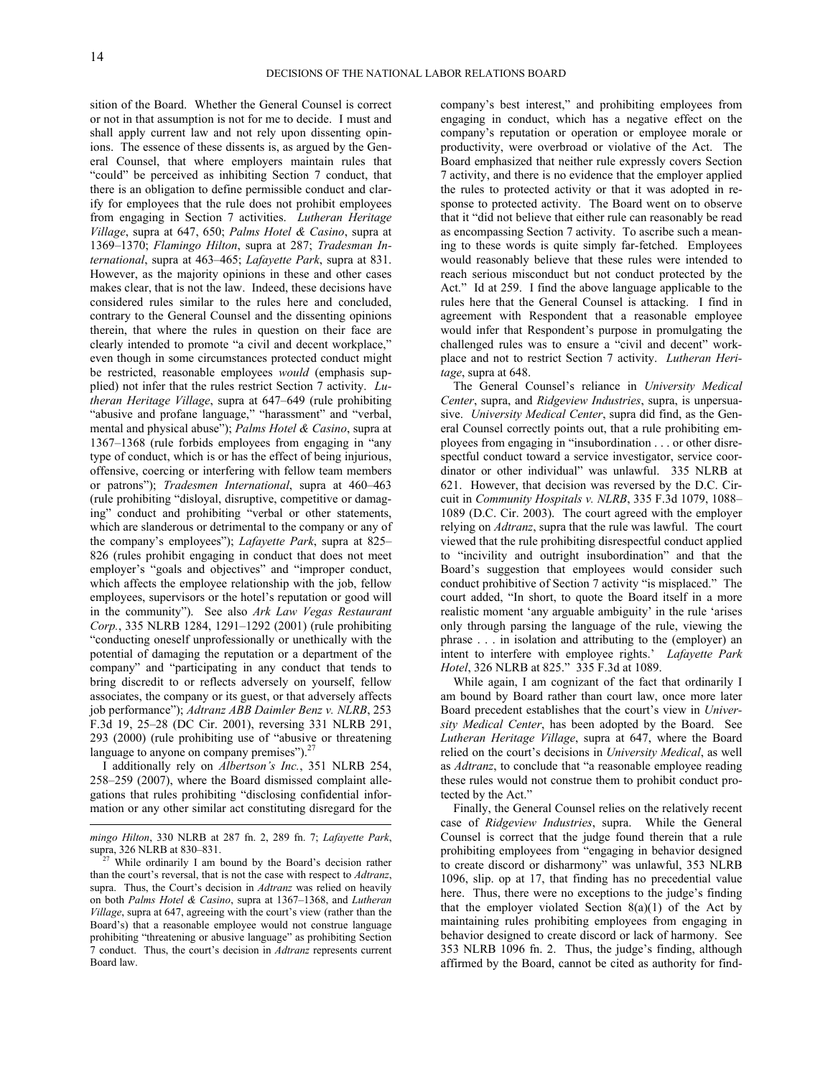sition of the Board. Whether the General Counsel is correct or not in that assumption is not for me to decide. I must and shall apply current law and not rely upon dissenting opinions. The essence of these dissents is, as argued by the General Counsel, that where employers maintain rules that "could" be perceived as inhibiting Section 7 conduct, that there is an obligation to define permissible conduct and clarify for employees that the rule does not prohibit employees from engaging in Section 7 activities. *Lutheran Heritage Village*, supra at 647, 650; *Palms Hotel & Casino*, supra at 1369–1370; *Flamingo Hilton*, supra at 287; *Tradesman International*, supra at 463–465; *Lafayette Park*, supra at 831. However, as the majority opinions in these and other cases makes clear, that is not the law. Indeed, these decisions have considered rules similar to the rules here and concluded, contrary to the General Counsel and the dissenting opinions therein, that where the rules in question on their face are clearly intended to promote "a civil and decent workplace," even though in some circumstances protected conduct might be restricted, reasonable employees *would* (emphasis supplied) not infer that the rules restrict Section 7 activity. *Lutheran Heritage Village*, supra at 647–649 (rule prohibiting "abusive and profane language," "harassment" and "verbal, mental and physical abuse"); *Palms Hotel & Casino*, supra at 1367–1368 (rule forbids employees from engaging in "any type of conduct, which is or has the effect of being injurious, offensive, coercing or interfering with fellow team members or patrons"); *Tradesmen International*, supra at 460–463 (rule prohibiting "disloyal, disruptive, competitive or damaging" conduct and prohibiting "verbal or other statements, which are slanderous or detrimental to the company or any of the company's employees"); *Lafayette Park*, supra at 825– 826 (rules prohibit engaging in conduct that does not meet employer's "goals and objectives" and "improper conduct, which affects the employee relationship with the job, fellow employees, supervisors or the hotel's reputation or good will in the community"). See also *Ark Law Vegas Restaurant Corp.*, 335 NLRB 1284, 1291–1292 (2001) (rule prohibiting "conducting oneself unprofessionally or unethically with the potential of damaging the reputation or a department of the company" and "participating in any conduct that tends to bring discredit to or reflects adversely on yourself, fellow associates, the company or its guest, or that adversely affects job performance"); *Adtranz ABB Daimler Benz v. NLRB*, 253 F.3d 19, 25–28 (DC Cir. 2001), reversing 331 NLRB 291, 293 (2000) (rule prohibiting use of "abusive or threatening language to anyone on company premises").<sup>[27](#page-13-0)</sup>

I additionally rely on *Albertson's Inc.*, 351 NLRB 254, 258–259 (2007), where the Board dismissed complaint allegations that rules prohibiting "disclosing confidential information or any other similar act constituting disregard for the

l

company's best interest," and prohibiting employees from engaging in conduct, which has a negative effect on the company's reputation or operation or employee morale or productivity, were overbroad or violative of the Act. The Board emphasized that neither rule expressly covers Section 7 activity, and there is no evidence that the employer applied the rules to protected activity or that it was adopted in response to protected activity. The Board went on to observe that it "did not believe that either rule can reasonably be read as encompassing Section 7 activity. To ascribe such a meaning to these words is quite simply far-fetched. Employees would reasonably believe that these rules were intended to reach serious misconduct but not conduct protected by the Act." Id at 259. I find the above language applicable to the rules here that the General Counsel is attacking. I find in agreement with Respondent that a reasonable employee would infer that Respondent's purpose in promulgating the challenged rules was to ensure a "civil and decent" workplace and not to restrict Section 7 activity. *Lutheran Heritage*, supra at 648.

The General Counsel's reliance in *University Medical Center*, supra, and *Ridgeview Industries*, supra, is unpersuasive. *University Medical Center*, supra did find, as the General Counsel correctly points out, that a rule prohibiting employees from engaging in "insubordination . . . or other disrespectful conduct toward a service investigator, service coordinator or other individual" was unlawful. 335 NLRB at 621. However, that decision was reversed by the D.C. Circuit in *Community Hospitals v. NLRB*, 335 F.3d 1079, 1088– 1089 (D.C. Cir. 2003). The court agreed with the employer relying on *Adtranz*, supra that the rule was lawful. The court viewed that the rule prohibiting disrespectful conduct applied to "incivility and outright insubordination" and that the Board's suggestion that employees would consider such conduct prohibitive of Section 7 activity "is misplaced." The court added, "In short, to quote the Board itself in a more realistic moment 'any arguable ambiguity' in the rule 'arises only through parsing the language of the rule, viewing the phrase . . . in isolation and attributing to the (employer) an intent to interfere with employee rights.' *Lafayette Park Hotel*, 326 NLRB at 825." 335 F.3d at 1089.

While again, I am cognizant of the fact that ordinarily I am bound by Board rather than court law, once more later Board precedent establishes that the court's view in *University Medical Center*, has been adopted by the Board. See *Lutheran Heritage Village*, supra at 647, where the Board relied on the court's decisions in *University Medical*, as well as *Adtranz*, to conclude that "a reasonable employee reading these rules would not construe them to prohibit conduct protected by the Act."

Finally, the General Counsel relies on the relatively recent case of *Ridgeview Industries*, supra. While the General Counsel is correct that the judge found therein that a rule prohibiting employees from "engaging in behavior designed to create discord or disharmony" was unlawful, 353 NLRB 1096, slip. op at 17, that finding has no precedential value here. Thus, there were no exceptions to the judge's finding that the employer violated Section  $8(a)(1)$  of the Act by maintaining rules prohibiting employees from engaging in behavior designed to create discord or lack of harmony. See 353 NLRB 1096 fn. 2. Thus, the judge's finding, although affirmed by the Board, cannot be cited as authority for find-

*mingo Hilton*, 330 NLRB at 287 fn. 2, 289 fn. 7; *Lafayette Park*, supra, 326 NLRB at 830–831.

<span id="page-13-0"></span>While ordinarily I am bound by the Board's decision rather than the court's reversal, that is not the case with respect to *Adtranz*, supra. Thus, the Court's decision in *Adtranz* was relied on heavily on both *Palms Hotel & Casino*, supra at 1367–1368, and *Lutheran Village*, supra at 647, agreeing with the court's view (rather than the Board's) that a reasonable employee would not construe language prohibiting "threatening or abusive language" as prohibiting Section 7 conduct. Thus, the court's decision in *Adtranz* represents current Board law.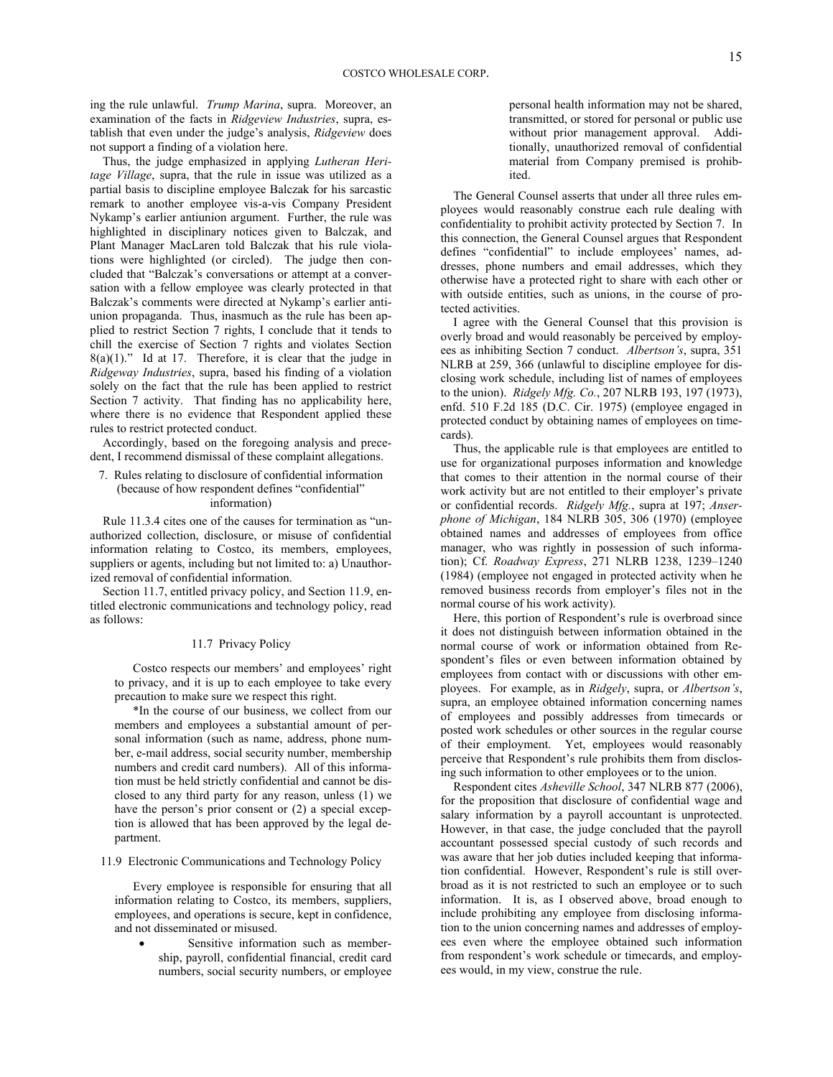ing the rule unlawful. *Trump Marina*, supra. Moreover, an examination of the facts in *Ridgeview Industries*, supra, establish that even under the judge's analysis, *Ridgeview* does not support a finding of a violation here.

Thus, the judge emphasized in applying *Lutheran Heritage Village*, supra, that the rule in issue was utilized as a partial basis to discipline employee Balczak for his sarcastic remark to another employee vis-a-vis Company President Nykamp's earlier antiunion argument. Further, the rule was highlighted in disciplinary notices given to Balczak, and Plant Manager MacLaren told Balczak that his rule violations were highlighted (or circled). The judge then concluded that "Balczak's conversations or attempt at a conversation with a fellow employee was clearly protected in that Balczak's comments were directed at Nykamp's earlier antiunion propaganda. Thus, inasmuch as the rule has been applied to restrict Section 7 rights, I conclude that it tends to chill the exercise of Section 7 rights and violates Section  $8(a)(1)$ ." Id at 17. Therefore, it is clear that the judge in *Ridgeway Industries*, supra, based his finding of a violation solely on the fact that the rule has been applied to restrict Section 7 activity. That finding has no applicability here, where there is no evidence that Respondent applied these rules to restrict protected conduct.

Accordingly, based on the foregoing analysis and precedent, I recommend dismissal of these complaint allegations.

### 7. Rules relating to disclosure of confidential information (because of how respondent defines "confidential" information)

Rule 11.3.4 cites one of the causes for termination as "unauthorized collection, disclosure, or misuse of confidential information relating to Costco, its members, employees, suppliers or agents, including but not limited to: a) Unauthorized removal of confidential information.

Section 11.7, entitled privacy policy, and Section 11.9, entitled electronic communications and technology policy, read as follows:

### 11.7 Privacy Policy

Costco respects our members' and employees' right to privacy, and it is up to each employee to take every precaution to make sure we respect this right.

\*In the course of our business, we collect from our members and employees a substantial amount of personal information (such as name, address, phone number, e-mail address, social security number, membership numbers and credit card numbers). All of this information must be held strictly confidential and cannot be disclosed to any third party for any reason, unless (1) we have the person's prior consent or (2) a special exception is allowed that has been approved by the legal department.

11.9 Electronic Communications and Technology Policy

Every employee is responsible for ensuring that all information relating to Costco, its members, suppliers, employees, and operations is secure, kept in confidence, and not disseminated or misused.

 Sensitive information such as membership, payroll, confidential financial, credit card numbers, social security numbers, or employee personal health information may not be shared, transmitted, or stored for personal or public use without prior management approval. Additionally, unauthorized removal of confidential material from Company premised is prohibited.

The General Counsel asserts that under all three rules employees would reasonably construe each rule dealing with confidentiality to prohibit activity protected by Section 7. In this connection, the General Counsel argues that Respondent defines "confidential" to include employees' names, addresses, phone numbers and email addresses, which they otherwise have a protected right to share with each other or with outside entities, such as unions, in the course of protected activities.

I agree with the General Counsel that this provision is overly broad and would reasonably be perceived by employees as inhibiting Section 7 conduct. *Albertson's*, supra, 351 NLRB at 259, 366 (unlawful to discipline employee for disclosing work schedule, including list of names of employees to the union). *Ridgely Mfg. Co.*, 207 NLRB 193, 197 (1973), enfd. 510 F.2d 185 (D.C. Cir. 1975) (employee engaged in protected conduct by obtaining names of employees on timecards).

Thus, the applicable rule is that employees are entitled to use for organizational purposes information and knowledge that comes to their attention in the normal course of their work activity but are not entitled to their employer's private or confidential records. *Ridgely Mfg.*, supra at 197; *Anserphone of Michigan*, 184 NLRB 305, 306 (1970) (employee obtained names and addresses of employees from office manager, who was rightly in possession of such information); Cf. *Roadway Express*, 271 NLRB 1238, 1239–1240 (1984) (employee not engaged in protected activity when he removed business records from employer's files not in the normal course of his work activity).

Here, this portion of Respondent's rule is overbroad since it does not distinguish between information obtained in the normal course of work or information obtained from Respondent's files or even between information obtained by employees from contact with or discussions with other employees. For example, as in *Ridgely*, supra, or *Albertson's*, supra, an employee obtained information concerning names of employees and possibly addresses from timecards or posted work schedules or other sources in the regular course of their employment. Yet, employees would reasonably perceive that Respondent's rule prohibits them from disclosing such information to other employees or to the union.

Respondent cites *Asheville School*, 347 NLRB 877 (2006), for the proposition that disclosure of confidential wage and salary information by a payroll accountant is unprotected. However, in that case, the judge concluded that the payroll accountant possessed special custody of such records and was aware that her job duties included keeping that information confidential. However, Respondent's rule is still overbroad as it is not restricted to such an employee or to such information. It is, as I observed above, broad enough to include prohibiting any employee from disclosing information to the union concerning names and addresses of employees even where the employee obtained such information from respondent's work schedule or timecards, and employees would, in my view, construe the rule.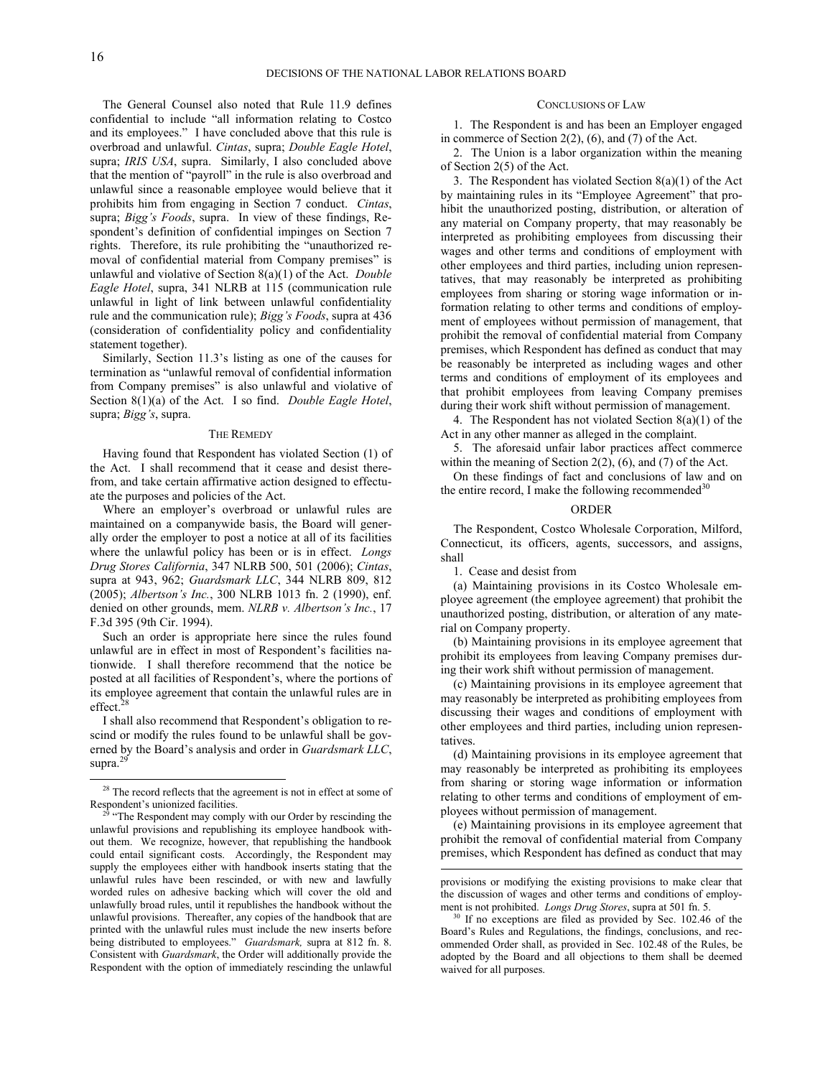1

The General Counsel also noted that Rule 11.9 defines confidential to include "all information relating to Costco and its employees." I have concluded above that this rule is overbroad and unlawful. *Cintas*, supra; *Double Eagle Hotel*, supra; *IRIS USA*, supra. Similarly, I also concluded above that the mention of "payroll" in the rule is also overbroad and unlawful since a reasonable employee would believe that it prohibits him from engaging in Section 7 conduct. *Cintas*, supra; *Bigg's Foods*, supra. In view of these findings, Respondent's definition of confidential impinges on Section 7 rights. Therefore, its rule prohibiting the "unauthorized removal of confidential material from Company premises" is unlawful and violative of Section 8(a)(1) of the Act. *Double Eagle Hotel*, supra, 341 NLRB at 115 (communication rule unlawful in light of link between unlawful confidentiality rule and the communication rule); *Bigg's Foods*, supra at 436 (consideration of confidentiality policy and confidentiality statement together).

Similarly, Section 11.3's listing as one of the causes for termination as "unlawful removal of confidential information from Company premises" is also unlawful and violative of Section 8(1)(a) of the Act. I so find. *Double Eagle Hotel*, supra; *Bigg's*, supra.

#### THE REMEDY

Having found that Respondent has violated Section (1) of the Act. I shall recommend that it cease and desist therefrom, and take certain affirmative action designed to effectuate the purposes and policies of the Act.

Where an employer's overbroad or unlawful rules are maintained on a companywide basis, the Board will generally order the employer to post a notice at all of its facilities where the unlawful policy has been or is in effect. *Longs Drug Stores California*, 347 NLRB 500, 501 (2006); *Cintas*, supra at 943, 962; *Guardsmark LLC*, 344 NLRB 809, 812 (2005); *Albertson's Inc.*, 300 NLRB 1013 fn. 2 (1990), enf. denied on other grounds, mem. *NLRB v. Albertson's Inc.*, 17 F.3d 395 (9th Cir. 1994).

Such an order is appropriate here since the rules found unlawful are in effect in most of Respondent's facilities nationwide. I shall therefore recommend that the notice be posted at all facilities of Respondent's, where the portions of its employee agreement that contain the unlawful rules are in effect.<sup>[28](#page-15-0)</sup>

I shall also recommend that Respondent's obligation to rescind or modify the rules found to be unlawful shall be governed by the Board's analysis and order in *Guardsmark LLC*, supra. $^{2}$ 

# CONCLUSIONS OF LAW

1. The Respondent is and has been an Employer engaged in commerce of Section  $2(2)$ ,  $(6)$ , and  $(7)$  of the Act.

2. The Union is a labor organization within the meaning of Section 2(5) of the Act.

3. The Respondent has violated Section 8(a)(1) of the Act by maintaining rules in its "Employee Agreement" that prohibit the unauthorized posting, distribution, or alteration of any material on Company property, that may reasonably be interpreted as prohibiting employees from discussing their wages and other terms and conditions of employment with other employees and third parties, including union representatives, that may reasonably be interpreted as prohibiting employees from sharing or storing wage information or information relating to other terms and conditions of employment of employees without permission of management, that prohibit the removal of confidential material from Company premises, which Respondent has defined as conduct that may be reasonably be interpreted as including wages and other terms and conditions of employment of its employees and that prohibit employees from leaving Company premises during their work shift without permission of management.

4. The Respondent has not violated Section 8(a)(1) of the Act in any other manner as alleged in the complaint.

5. The aforesaid unfair labor practices affect commerce within the meaning of Section 2(2), (6), and (7) of the Act.

On these findings of fact and conclusions of law and on the entire record, I make the following recommended $30$ 

#### ORDER

The Respondent, Costco Wholesale Corporation, Milford, Connecticut, its officers, agents, successors, and assigns, shall

1. Cease and desist from

l

(a) Maintaining provisions in its Costco Wholesale employee agreement (the employee agreement) that prohibit the unauthorized posting, distribution, or alteration of any material on Company property.

(b) Maintaining provisions in its employee agreement that prohibit its employees from leaving Company premises during their work shift without permission of management.

(c) Maintaining provisions in its employee agreement that may reasonably be interpreted as prohibiting employees from discussing their wages and conditions of employment with other employees and third parties, including union representatives.

(d) Maintaining provisions in its employee agreement that may reasonably be interpreted as prohibiting its employees from sharing or storing wage information or information relating to other terms and conditions of employment of employees without permission of management.

(e) Maintaining provisions in its employee agreement that prohibit the removal of confidential material from Company premises, which Respondent has defined as conduct that may

<span id="page-15-0"></span><sup>&</sup>lt;sup>28</sup> The record reflects that the agreement is not in effect at some of Respondent's unionized facilities.

<span id="page-15-2"></span><span id="page-15-1"></span><sup>&</sup>lt;sup>29</sup> "The Respondent may comply with our Order by rescinding the unlawful provisions and republishing its employee handbook without them. We recognize, however, that republishing the handbook could entail significant costs. Accordingly, the Respondent may supply the employees either with handbook inserts stating that the unlawful rules have been rescinded, or with new and lawfully worded rules on adhesive backing which will cover the old and unlawfully broad rules, until it republishes the handbook without the unlawful provisions. Thereafter, any copies of the handbook that are printed with the unlawful rules must include the new inserts before being distributed to employees." *Guardsmark,* supra at 812 fn. 8. Consistent with *Guardsmark*, the Order will additionally provide the Respondent with the option of immediately rescinding the unlawful

provisions or modifying the existing provisions to make clear that the discussion of wages and other terms and conditions of employment is not prohibited. *Longs Drug Stores*, supra at 501 fn. 5.

If no exceptions are filed as provided by Sec. 102.46 of the Board's Rules and Regulations, the findings, conclusions, and recommended Order shall, as provided in Sec. 102.48 of the Rules, be adopted by the Board and all objections to them shall be deemed waived for all purposes.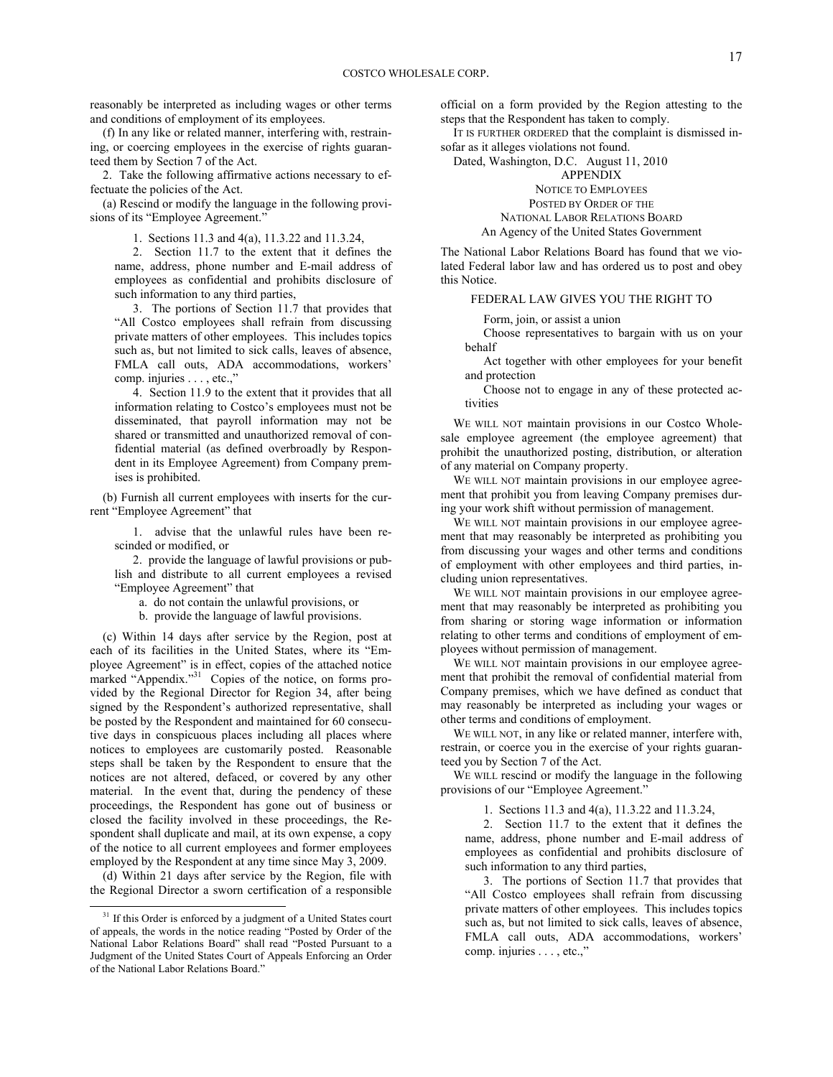reasonably be interpreted as including wages or other terms and conditions of employment of its employees.

(f) In any like or related manner, interfering with, restraining, or coercing employees in the exercise of rights guaranteed them by Section 7 of the Act.

2. Take the following affirmative actions necessary to effectuate the policies of the Act.

(a) Rescind or modify the language in the following provisions of its "Employee Agreement."

1. Sections 11.3 and 4(a), 11.3.22 and 11.3.24,

2. Section 11.7 to the extent that it defines the name, address, phone number and E-mail address of employees as confidential and prohibits disclosure of such information to any third parties,

3. The portions of Section 11.7 that provides that "All Costco employees shall refrain from discussing private matters of other employees. This includes topics such as, but not limited to sick calls, leaves of absence, FMLA call outs, ADA accommodations, workers' comp. injuries . . . , etc.,"

4. Section 11.9 to the extent that it provides that all information relating to Costco's employees must not be disseminated, that payroll information may not be shared or transmitted and unauthorized removal of confidential material (as defined overbroadly by Respondent in its Employee Agreement) from Company premises is prohibited.

(b) Furnish all current employees with inserts for the current "Employee Agreement" that

1. advise that the unlawful rules have been rescinded or modified, or

2. provide the language of lawful provisions or publish and distribute to all current employees a revised "Employee Agreement" that

a. do not contain the unlawful provisions, or

b. provide the language of lawful provisions.

(c) Within 14 days after service by the Region, post at each of its facilities in the United States, where its "Employee Agreement" is in effect, copies of the attached notice marked "Appendix."<sup>[31](#page-16-0)</sup> Copies of the notice, on forms provided by the Regional Director for Region 34, after being signed by the Respondent's authorized representative, shall be posted by the Respondent and maintained for 60 consecutive days in conspicuous places including all places where notices to employees are customarily posted. Reasonable steps shall be taken by the Respondent to ensure that the notices are not altered, defaced, or covered by any other material. In the event that, during the pendency of these proceedings, the Respondent has gone out of business or closed the facility involved in these proceedings, the Respondent shall duplicate and mail, at its own expense, a copy of the notice to all current employees and former employees employed by the Respondent at any time since May 3, 2009.

(d) Within 21 days after service by the Region, file with the Regional Director a sworn certification of a responsible

-

official on a form provided by the Region attesting to the steps that the Respondent has taken to comply.

IT IS FURTHER ORDERED that the complaint is dismissed insofar as it alleges violations not found.

Dated, Washington, D.C. August 11, 2010

APPENDIX NOTICE TO EMPLOYEES POSTED BY ORDER OF THE NATIONAL LABOR RELATIONS BOARD An Agency of the United States Government

The National Labor Relations Board has found that we violated Federal labor law and has ordered us to post and obey this Notice.

## FEDERAL LAW GIVES YOU THE RIGHT TO

Form, join, or assist a union

Choose representatives to bargain with us on your behalf

Act together with other employees for your benefit and protection

Choose not to engage in any of these protected activities

WE WILL NOT maintain provisions in our Costco Wholesale employee agreement (the employee agreement) that prohibit the unauthorized posting, distribution, or alteration of any material on Company property.

WE WILL NOT maintain provisions in our employee agreement that prohibit you from leaving Company premises during your work shift without permission of management.

WE WILL NOT maintain provisions in our employee agreement that may reasonably be interpreted as prohibiting you from discussing your wages and other terms and conditions of employment with other employees and third parties, including union representatives.

WE WILL NOT maintain provisions in our employee agreement that may reasonably be interpreted as prohibiting you from sharing or storing wage information or information relating to other terms and conditions of employment of employees without permission of management.

WE WILL NOT maintain provisions in our employee agreement that prohibit the removal of confidential material from Company premises, which we have defined as conduct that may reasonably be interpreted as including your wages or other terms and conditions of employment.

WE WILL NOT, in any like or related manner, interfere with, restrain, or coerce you in the exercise of your rights guaranteed you by Section 7 of the Act.

WE WILL rescind or modify the language in the following provisions of our "Employee Agreement."

1. Sections 11.3 and 4(a), 11.3.22 and 11.3.24,

2. Section 11.7 to the extent that it defines the name, address, phone number and E-mail address of employees as confidential and prohibits disclosure of such information to any third parties,

3. The portions of Section 11.7 that provides that "All Costco employees shall refrain from discussing private matters of other employees. This includes topics such as, but not limited to sick calls, leaves of absence, FMLA call outs, ADA accommodations, workers' comp. injuries . . . , etc.,"

<span id="page-16-0"></span> $31$  If this Order is enforced by a judgment of a United States court of appeals, the words in the notice reading "Posted by Order of the National Labor Relations Board" shall read "Posted Pursuant to a Judgment of the United States Court of Appeals Enforcing an Order of the National Labor Relations Board."